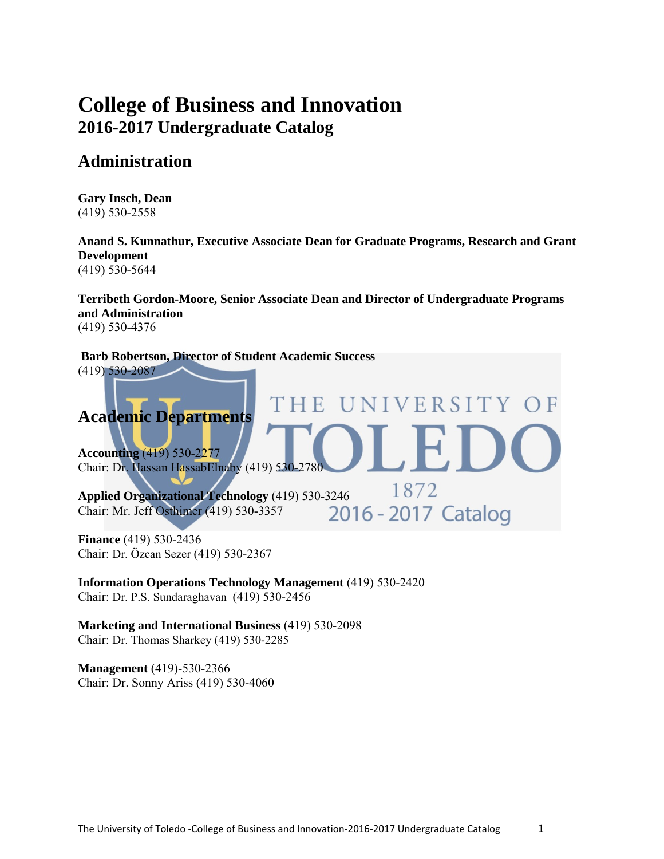# **College of Business and Innovation 2016-2017 Undergraduate Catalog**

# **Administration**

**Gary Insch, Dean**  (419) 530-2558

**Anand S. Kunnathur, Executive Associate Dean for Graduate Programs, Research and Grant Development**  (419) 530-5644

**Terribeth Gordon-Moore, Senior Associate Dean and Director of Undergraduate Programs and Administration** (419) 530-4376

**Barb Robertson, Director of Student Academic Success**  (419) 530-2087 **VERSITY** H E **Academic Departments Accounting** (419) 530-2277 Chair: Dr. Hassan HassabElnaby (419) 530-2780 1872 **Applied Organizational Technology** (419) 530-3246<br>
Chair: Mr. Jeff Osthimer (419) 530-3357<br>
2016 - 2017 Catalog Chair: Mr. Jeff Osthimer (419) 530-3357

**Finance** (419) 530-2436 Chair: Dr. Özcan Sezer (419) 530-2367

**Information Operations Technology Management** (419) 530-2420 Chair: Dr. P.S. Sundaraghavan (419) 530-2456

**Marketing and International Business** (419) 530-2098 Chair: Dr. Thomas Sharkey (419) 530-2285

**Management** (419)-530-2366 Chair: Dr. Sonny Ariss (419) 530-4060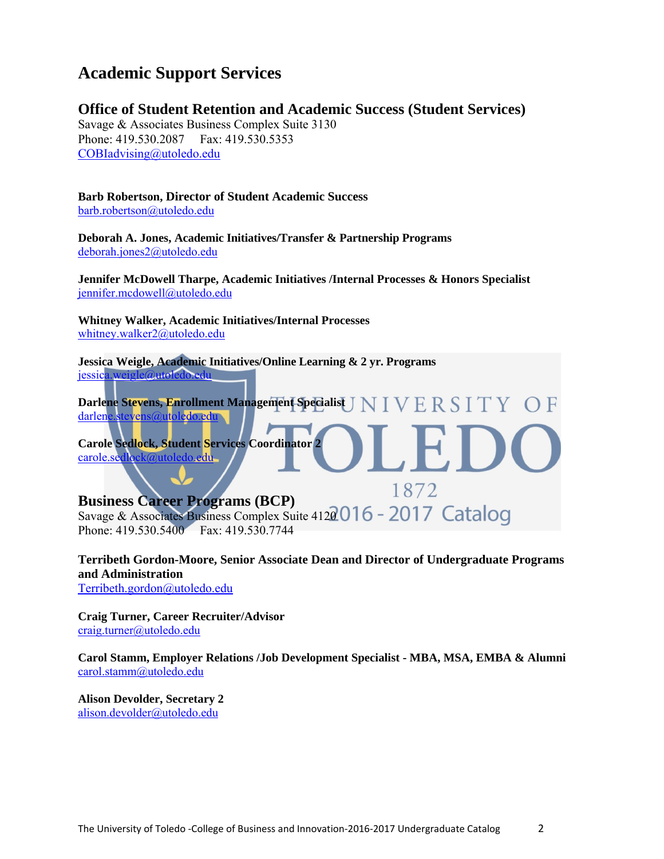# **Academic Support Services**

# **Office of Student Retention and Academic Success (Student Services)**

Savage & Associates Business Complex Suite 3130 Phone: 419.530.2087 Fax: 419.530.5353 COBIadvising@utoledo.edu

# **Barb Robertson, Director of Student Academic Success**

barb.robertson@utoledo.edu

**Deborah A. Jones, Academic Initiatives/Transfer & Partnership Programs** deborah.jones2@utoledo.edu

**Jennifer McDowell Tharpe, Academic Initiatives /Internal Processes & Honors Specialist** jennifer.mcdowell@utoledo.edu

**Whitney Walker, Academic Initiatives/Internal Processes**  whitney.walker2@utoledo.edu

**Jessica Weigle, Academic Initiatives/Online Learning & 2 yr. Programs**  jessica.weigle@utoledo.edu

**Darlene Stevens, Enrollment Management Specialist**  darlene.stevens@utoledo.edu

**Carole Sedlock, Student Services Coordinator 2**  carole.sedlock@utoledo.edu

# **Business Career Programs (BCP)**

Savage & Associates Business Complex Suite 4120016 - 2017 Catalog Phone: 419.530.5400 Fax: 419.530.7744

**Terribeth Gordon-Moore, Senior Associate Dean and Director of Undergraduate Programs and Administration** 

1872

Terribeth.gordon@utoledo.edu

**Craig Turner, Career Recruiter/Advisor**  craig.turner@utoledo.edu

**Carol Stamm, Employer Relations /Job Development Specialist - MBA, MSA, EMBA & Alumni**  carol.stamm@utoledo.edu

**Alison Devolder, Secretary 2**  alison.devolder@utoledo.edu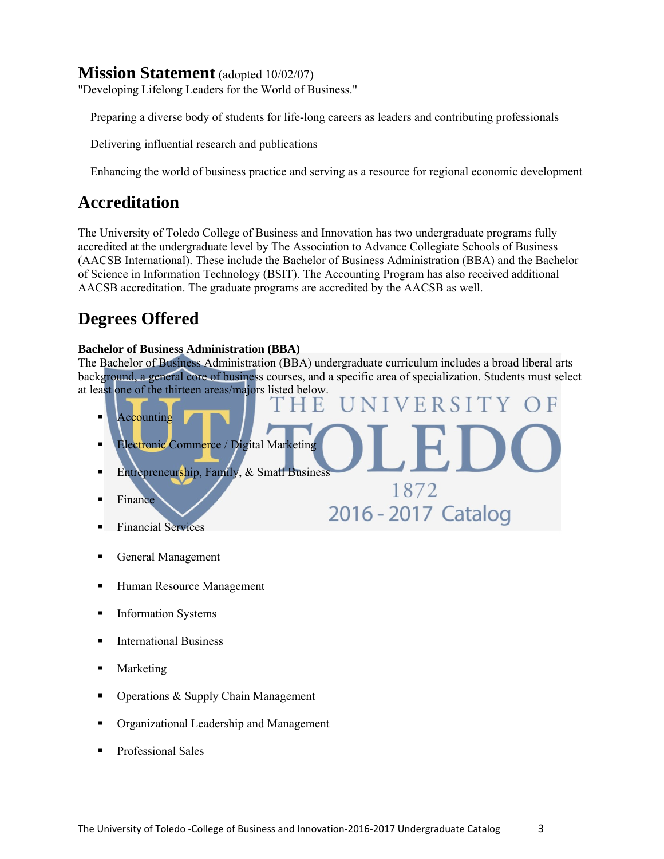# **Mission Statement** (adopted 10/02/07)

"Developing Lifelong Leaders for the World of Business."

Preparing a diverse body of students for life-long careers as leaders and contributing professionals

Delivering influential research and publications

Enhancing the world of business practice and serving as a resource for regional economic development

# **Accreditation**

The University of Toledo College of Business and Innovation has two undergraduate programs fully accredited at the undergraduate level by The Association to Advance Collegiate Schools of Business (AACSB International). These include the Bachelor of Business Administration (BBA) and the Bachelor of Science in Information Technology (BSIT). The Accounting Program has also received additional AACSB accreditation. The graduate programs are accredited by the AACSB as well.

# **Degrees Offered**

# **Bachelor of Business Administration (BBA)**

The Bachelor of Business Administration (BBA) undergraduate curriculum includes a broad liberal arts background, a general core of business courses, and a specific area of specialization. Students must select at least one of the thirteen areas/majors listed below.

- VERSITY Accounting Electronic Commerce / Digital Marketing Entrepreneurship, Family, & Small Business 1872 Finance 2016 - 2017 Catalog Financial Services
- 
- General Management
- Human Resource Management
- **Information Systems**
- **International Business**
- Marketing
- Operations & Supply Chain Management
- Organizational Leadership and Management
- Professional Sales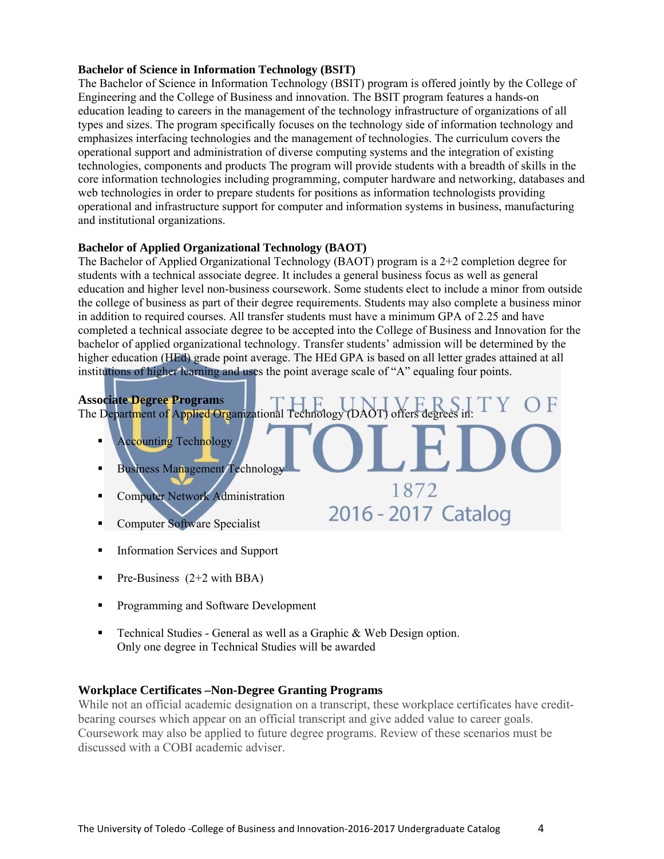#### **Bachelor of Science in Information Technology (BSIT)**

The Bachelor of Science in Information Technology (BSIT) program is offered jointly by the College of Engineering and the College of Business and innovation. The BSIT program features a hands-on education leading to careers in the management of the technology infrastructure of organizations of all types and sizes. The program specifically focuses on the technology side of information technology and emphasizes interfacing technologies and the management of technologies. The curriculum covers the operational support and administration of diverse computing systems and the integration of existing technologies, components and products The program will provide students with a breadth of skills in the core information technologies including programming, computer hardware and networking, databases and web technologies in order to prepare students for positions as information technologists providing operational and infrastructure support for computer and information systems in business, manufacturing and institutional organizations.

#### **Bachelor of Applied Organizational Technology (BAOT)**

The Bachelor of Applied Organizational Technology (BAOT) program is a 2+2 completion degree for students with a technical associate degree. It includes a general business focus as well as general education and higher level non-business coursework. Some students elect to include a minor from outside the college of business as part of their degree requirements. Students may also complete a business minor in addition to required courses. All transfer students must have a minimum GPA of 2.25 and have completed a technical associate degree to be accepted into the College of Business and Innovation for the bachelor of applied organizational technology. Transfer students' admission will be determined by the higher education (HEd) grade point average. The HEd GPA is based on all letter grades attained at all institutions of higher learning and uses the point average scale of "A" equaling four points.

# **Associate Degree Program**s

The Department of Applied Organizational Technology (DAOT) offers degrees in:

1872

2016 - 2017 Catalog

- Accounting Technology
- Business Management Technology
- Computer Network Administration
- Computer Software Specialist
- **Information Services and Support**
- Pre-Business  $(2+2 \text{ with } BBA)$
- **Programming and Software Development**
- Technical Studies General as well as a Graphic & Web Design option. Only one degree in Technical Studies will be awarded

# **Workplace Certificates –Non-Degree Granting Programs**

While not an official academic designation on a transcript, these workplace certificates have creditbearing courses which appear on an official transcript and give added value to career goals. Coursework may also be applied to future degree programs. Review of these scenarios must be discussed with a COBI academic adviser.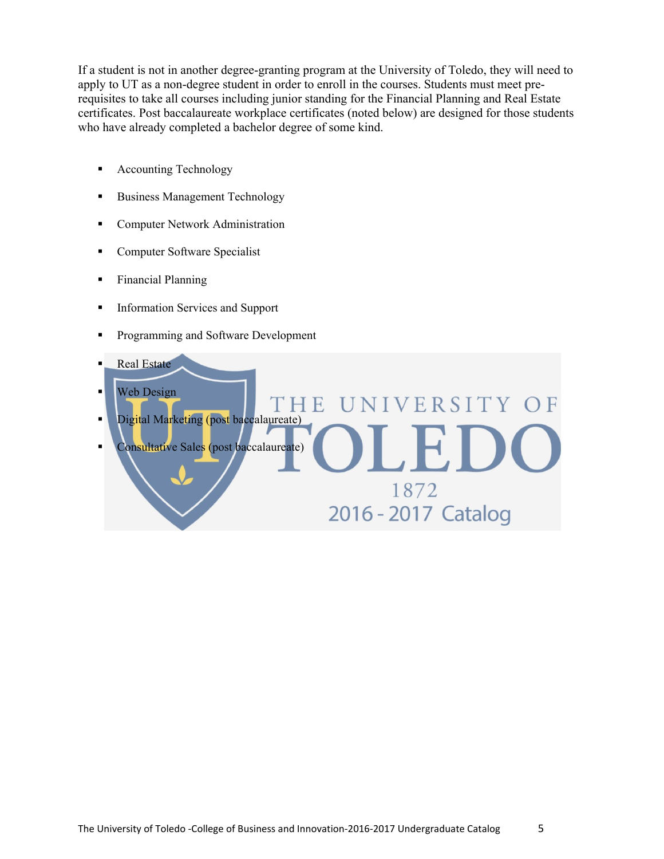If a student is not in another degree-granting program at the University of Toledo, they will need to apply to UT as a non-degree student in order to enroll in the courses. Students must meet prerequisites to take all courses including junior standing for the Financial Planning and Real Estate certificates. Post baccalaureate workplace certificates (noted below) are designed for those students who have already completed a bachelor degree of some kind.

'HE

U

VIVERSITY OF

 $F$ 

1872

2016 - 2017 Catalog

- **Accounting Technology**
- Business Management Technology
- **Computer Network Administration**
- **Computer Software Specialist**
- **Financial Planning**
- **Information Services and Support**
- **Programming and Software Development**
- Real Estate
- **Web Design**
- Digital Marketing (post baccalaureate)
- Consultative Sales (post baccalaureate)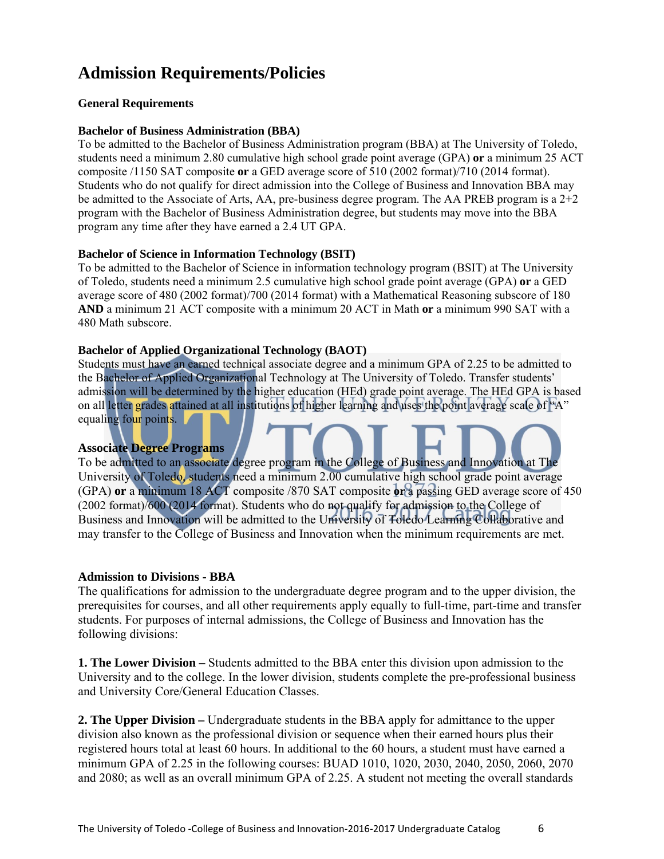# **Admission Requirements/Policies**

#### **General Requirements**

#### **Bachelor of Business Administration (BBA)**

To be admitted to the Bachelor of Business Administration program (BBA) at The University of Toledo, students need a minimum 2.80 cumulative high school grade point average (GPA) **or** a minimum 25 ACT composite /1150 SAT composite **or** a GED average score of 510 (2002 format)/710 (2014 format). Students who do not qualify for direct admission into the College of Business and Innovation BBA may be admitted to the Associate of Arts, AA, pre-business degree program. The AA PREB program is a  $2+2$ program with the Bachelor of Business Administration degree, but students may move into the BBA program any time after they have earned a 2.4 UT GPA.

#### **Bachelor of Science in Information Technology (BSIT)**

To be admitted to the Bachelor of Science in information technology program (BSIT) at The University of Toledo, students need a minimum 2.5 cumulative high school grade point average (GPA) **or** a GED average score of 480 (2002 format)/700 (2014 format) with a Mathematical Reasoning subscore of 180 **AND** a minimum 21 ACT composite with a minimum 20 ACT in Math **or** a minimum 990 SAT with a 480 Math subscore.

#### **Bachelor of Applied Organizational Technology (BAOT)**

Students must have an earned technical associate degree and a minimum GPA of 2.25 to be admitted to the Bachelor of Applied Organizational Technology at The University of Toledo. Transfer students' admission will be determined by the higher education (HEd) grade point average. The HEd GPA is based on all letter grades attained at all institutions of higher learning and uses the point average scale of "A" equaling four points.

#### **Associate Degree Programs**

To be admitted to an associate degree program in the College of Business and Innovation at The University of Toledo, students need a minimum 2.00 cumulative high school grade point average (GPA) **or** a minimum 18 ACT composite /870 SAT composite **or** a passing GED average score of 450 (2002 format)/600 (2014 format). Students who do not qualify for admission to the College of Business and Innovation will be admitted to the University of Toledo Learning Collaborative and may transfer to the College of Business and Innovation when the minimum requirements are met.

#### **Admission to Divisions - BBA**

The qualifications for admission to the undergraduate degree program and to the upper division, the prerequisites for courses, and all other requirements apply equally to full-time, part-time and transfer students. For purposes of internal admissions, the College of Business and Innovation has the following divisions:

**1. The Lower Division –** Students admitted to the BBA enter this division upon admission to the University and to the college. In the lower division, students complete the pre-professional business and University Core/General Education Classes.

**2. The Upper Division –** Undergraduate students in the BBA apply for admittance to the upper division also known as the professional division or sequence when their earned hours plus their registered hours total at least 60 hours. In additional to the 60 hours, a student must have earned a minimum GPA of 2.25 in the following courses: BUAD 1010, 1020, 2030, 2040, 2050, 2060, 2070 and 2080; as well as an overall minimum GPA of 2.25. A student not meeting the overall standards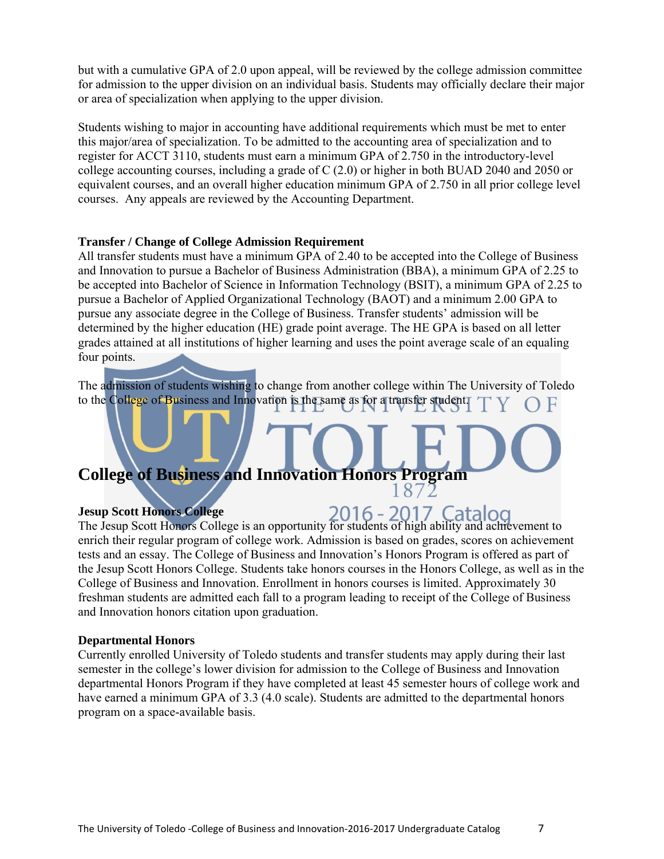but with a cumulative GPA of 2.0 upon appeal, will be reviewed by the college admission committee for admission to the upper division on an individual basis. Students may officially declare their major or area of specialization when applying to the upper division.

Students wishing to major in accounting have additional requirements which must be met to enter this major/area of specialization. To be admitted to the accounting area of specialization and to register for ACCT 3110, students must earn a minimum GPA of 2.750 in the introductory-level college accounting courses, including a grade of C (2.0) or higher in both BUAD 2040 and 2050 or equivalent courses, and an overall higher education minimum GPA of 2.750 in all prior college level courses. Any appeals are reviewed by the Accounting Department.

#### **Transfer / Change of College Admission Requirement**

All transfer students must have a minimum GPA of 2.40 to be accepted into the College of Business and Innovation to pursue a Bachelor of Business Administration (BBA), a minimum GPA of 2.25 to be accepted into Bachelor of Science in Information Technology (BSIT), a minimum GPA of 2.25 to pursue a Bachelor of Applied Organizational Technology (BAOT) and a minimum 2.00 GPA to pursue any associate degree in the College of Business. Transfer students' admission will be determined by the higher education (HE) grade point average. The HE GPA is based on all letter grades attained at all institutions of higher learning and uses the point average scale of an equaling four points.

The admission of students wishing to change from another college within The University of Toledo to the College of Business and Innovation is the same as for a transfer student.

# **College of Business and Innovation Honors Program**

#### **Jesup Scott Honors College**

The Jesup Scott Honors College is an opportunity for students of high ability and achievement to enrich their regular program of college work. Admission is based on grades, scores on achievement tests and an essay. The College of Business and Innovation's Honors Program is offered as part of the Jesup Scott Honors College. Students take honors courses in the Honors College, as well as in the College of Business and Innovation. Enrollment in honors courses is limited. Approximately 30 freshman students are admitted each fall to a program leading to receipt of the College of Business and Innovation honors citation upon graduation.

#### **Departmental Honors**

Currently enrolled University of Toledo students and transfer students may apply during their last semester in the college's lower division for admission to the College of Business and Innovation departmental Honors Program if they have completed at least 45 semester hours of college work and have earned a minimum GPA of 3.3 (4.0 scale). Students are admitted to the departmental honors program on a space-available basis.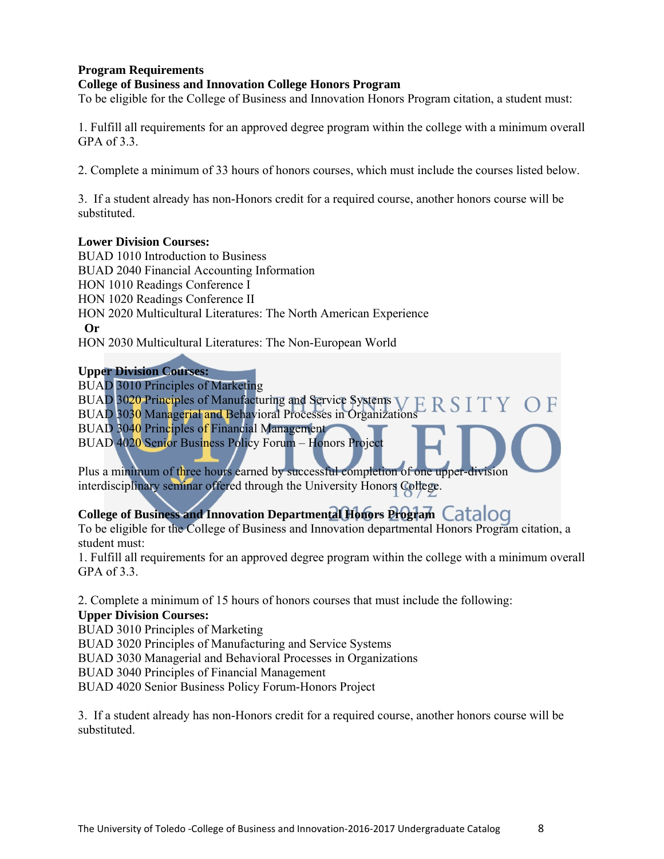# **Program Requirements**

#### **College of Business and Innovation College Honors Program**

To be eligible for the College of Business and Innovation Honors Program citation, a student must:

1. Fulfill all requirements for an approved degree program within the college with a minimum overall GPA of 3.3.

2. Complete a minimum of 33 hours of honors courses, which must include the courses listed below.

3. If a student already has non-Honors credit for a required course, another honors course will be substituted.

#### **Lower Division Courses:**

BUAD 1010 Introduction to Business BUAD 2040 Financial Accounting Information HON 1010 Readings Conference I HON 1020 Readings Conference II HON 2020 Multicultural Literatures: The North American Experience  **Or**  HON 2030 Multicultural Literatures: The Non-European World

# **Upper Division Courses:**

BUAD 3010 Principles of Marketing

BUAD 3020 Principles of Manufacturing and Service Systems  $VERS$ BUAD 3030 Managerial and Behavioral Processes in Organizations BUAD 3040 Principles of Financial Management BUAD 4020 Senior Business Policy Forum – Honors Project

Plus a minimum of three hours earned by successful completion of one upper-division interdisciplinary seminar offered through the University Honors College.

# **College of Business and Innovation Departmental Honors Program**

To be eligible for the College of Business and Innovation departmental Honors Program citation, a student must:

1. Fulfill all requirements for an approved degree program within the college with a minimum overall GPA of 3.3.

2. Complete a minimum of 15 hours of honors courses that must include the following:

# **Upper Division Courses:**

BUAD 3010 Principles of Marketing BUAD 3020 Principles of Manufacturing and Service Systems BUAD 3030 Managerial and Behavioral Processes in Organizations BUAD 3040 Principles of Financial Management BUAD 4020 Senior Business Policy Forum-Honors Project

3. If a student already has non-Honors credit for a required course, another honors course will be substituted.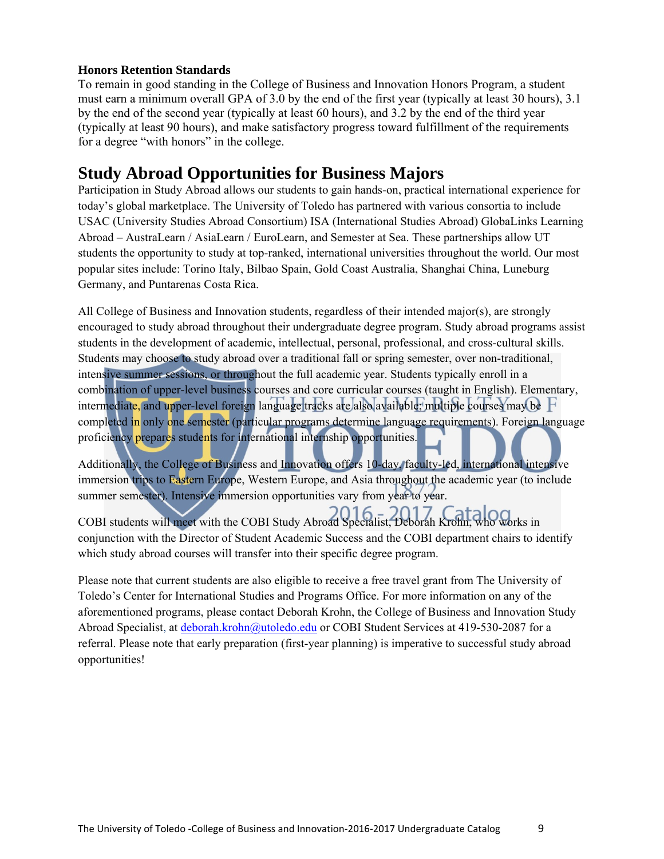# **Honors Retention Standards**

To remain in good standing in the College of Business and Innovation Honors Program, a student must earn a minimum overall GPA of 3.0 by the end of the first year (typically at least 30 hours), 3.1 by the end of the second year (typically at least 60 hours), and 3.2 by the end of the third year (typically at least 90 hours), and make satisfactory progress toward fulfillment of the requirements for a degree "with honors" in the college.

# **Study Abroad Opportunities for Business Majors**

Participation in Study Abroad allows our students to gain hands-on, practical international experience for today's global marketplace. The University of Toledo has partnered with various consortia to include USAC (University Studies Abroad Consortium) ISA (International Studies Abroad) GlobaLinks Learning Abroad – AustraLearn / AsiaLearn / EuroLearn, and Semester at Sea. These partnerships allow UT students the opportunity to study at top-ranked, international universities throughout the world. Our most popular sites include: Torino Italy, Bilbao Spain, Gold Coast Australia, Shanghai China, Luneburg Germany, and Puntarenas Costa Rica.

All College of Business and Innovation students, regardless of their intended major(s), are strongly encouraged to study abroad throughout their undergraduate degree program. Study abroad programs assist students in the development of academic, intellectual, personal, professional, and cross-cultural skills. Students may choose to study abroad over a traditional fall or spring semester, over non-traditional, intensive summer sessions, or throughout the full academic year. Students typically enroll in a combination of upper-level business courses and core curricular courses (taught in English). Elementary, intermediate, and upper-level foreign language tracks are also available; multiple courses may be completed in only one semester (particular programs determine language requirements). Foreign language proficiency prepares students for international internship opportunities.

Additionally, the College of Business and Innovation offers 10-day, faculty-led, international intensive immersion trips to Eastern Europe, Western Europe, and Asia throughout the academic year (to include summer semester). Intensive immersion opportunities vary from year to year.

COBI students will meet with the COBI Study Abroad Specialist, Deborah Krohn, who works in conjunction with the Director of Student Academic Success and the COBI department chairs to identify which study abroad courses will transfer into their specific degree program.

Please note that current students are also eligible to receive a free travel grant from The University of Toledo's Center for International Studies and Programs Office. For more information on any of the aforementioned programs, please contact Deborah Krohn, the College of Business and Innovation Study Abroad Specialist, at deborah.krohn@utoledo.edu or COBI Student Services at 419-530-2087 for a referral. Please note that early preparation (first-year planning) is imperative to successful study abroad opportunities!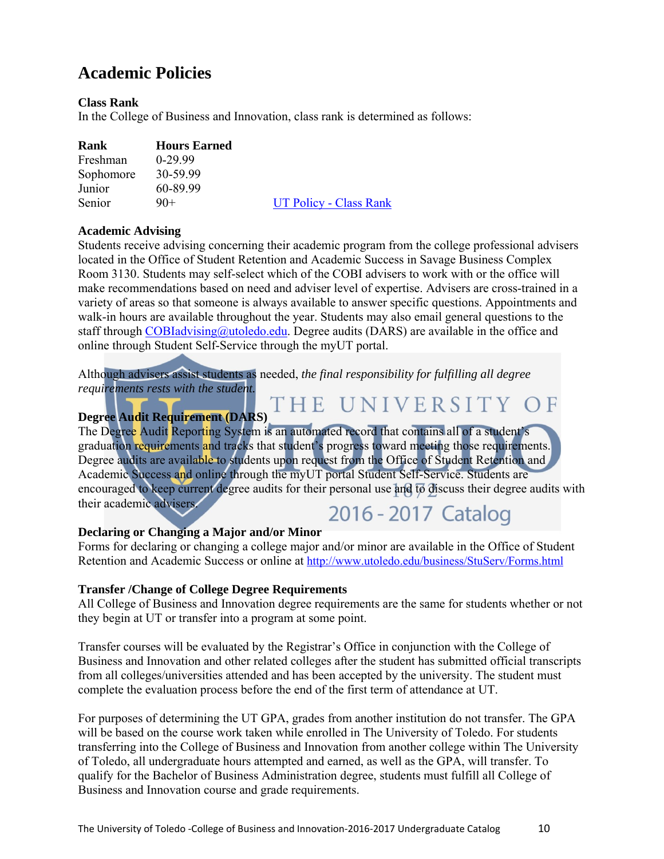# **Academic Policies**

# **Class Rank**

In the College of Business and Innovation, class rank is determined as follows:

| Freshman  | $0-29.99$ |
|-----------|-----------|
| Sophomore | 30-59.99  |
| Junior    | 60-89.99  |
| Senior    | $90+$     |

UT Policy - Class Rank

# **Academic Advising**

Students receive advising concerning their academic program from the college professional advisers located in the Office of Student Retention and Academic Success in Savage Business Complex Room 3130. Students may self-select which of the COBI advisers to work with or the office will make recommendations based on need and adviser level of expertise. Advisers are cross-trained in a variety of areas so that someone is always available to answer specific questions. Appointments and walk-in hours are available throughout the year. Students may also email general questions to the staff through COBIadvising  $\omega$ utoledo.edu. Degree audits (DARS) are available in the office and online through Student Self-Service through the myUT portal.

Although advisers assist students as needed, *the final responsibility for fulfilling all degree requirements rests with the student.*  THE UNIVERSITY OF

# **Degree Audit Requirement (DARS)**

The Degree Audit Reporting System is an automated record that contains all of a student's graduation requirements and tracks that student's progress toward meeting those requirements. Degree audits are available to students upon request from the Office of Student Retention and Academic Success and online through the myUT portal Student Self-Service. Students are encouraged to keep current degree audits for their personal use and to discuss their degree audits with their academic advisers.

# 2016 - 2017 Catalog

# **Declaring or Changing a Major and/or Minor**

Forms for declaring or changing a college major and/or minor are available in the Office of Student Retention and Academic Success or online at http://www.utoledo.edu/business/StuServ/Forms.html

# **Transfer /Change of College Degree Requirements**

All College of Business and Innovation degree requirements are the same for students whether or not they begin at UT or transfer into a program at some point.

Transfer courses will be evaluated by the Registrar's Office in conjunction with the College of Business and Innovation and other related colleges after the student has submitted official transcripts from all colleges/universities attended and has been accepted by the university. The student must complete the evaluation process before the end of the first term of attendance at UT.

For purposes of determining the UT GPA, grades from another institution do not transfer. The GPA will be based on the course work taken while enrolled in The University of Toledo. For students transferring into the College of Business and Innovation from another college within The University of Toledo, all undergraduate hours attempted and earned, as well as the GPA, will transfer. To qualify for the Bachelor of Business Administration degree, students must fulfill all College of Business and Innovation course and grade requirements.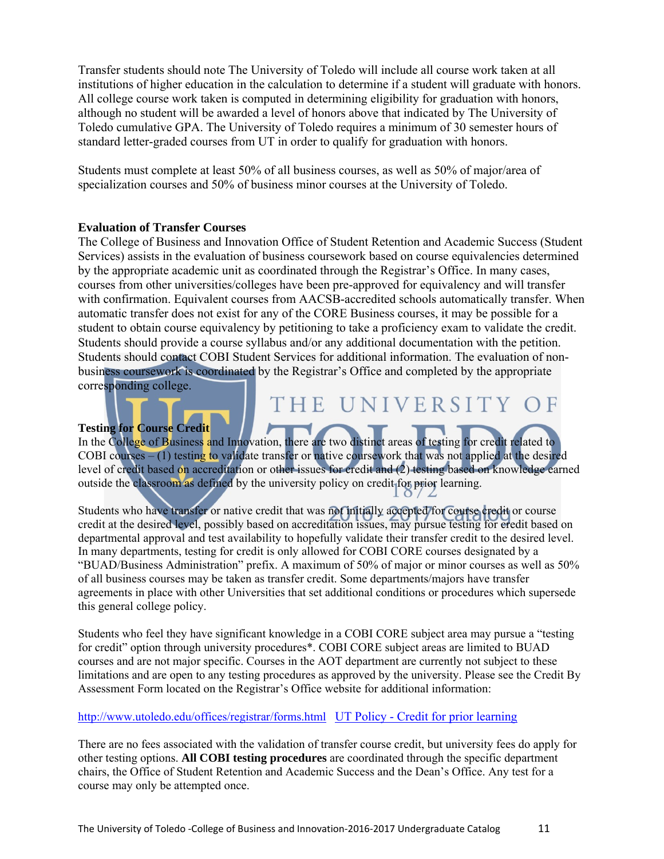Transfer students should note The University of Toledo will include all course work taken at all institutions of higher education in the calculation to determine if a student will graduate with honors. All college course work taken is computed in determining eligibility for graduation with honors, although no student will be awarded a level of honors above that indicated by The University of Toledo cumulative GPA. The University of Toledo requires a minimum of 30 semester hours of standard letter-graded courses from UT in order to qualify for graduation with honors.

Students must complete at least 50% of all business courses, as well as 50% of major/area of specialization courses and 50% of business minor courses at the University of Toledo.

#### **Evaluation of Transfer Courses**

The College of Business and Innovation Office of Student Retention and Academic Success (Student Services) assists in the evaluation of business coursework based on course equivalencies determined by the appropriate academic unit as coordinated through the Registrar's Office. In many cases, courses from other universities/colleges have been pre-approved for equivalency and will transfer with confirmation. Equivalent courses from AACSB-accredited schools automatically transfer. When automatic transfer does not exist for any of the CORE Business courses, it may be possible for a student to obtain course equivalency by petitioning to take a proficiency exam to validate the credit. Students should provide a course syllabus and/or any additional documentation with the petition. Students should contact COBI Student Services for additional information. The evaluation of nonbusiness coursework is coordinated by the Registrar's Office and completed by the appropriate corresponding college.

# THE UNIVERSITY

**Testing for Course Credit** 

In the College of Business and Innovation, there are two distinct areas of testing for credit related to COBI courses  $-$  (1) testing to validate transfer or native coursework that was not applied at the desired level of credit based on accreditation or other issues for credit and (2) testing based on knowledge earned outside the classroom as defined by the university policy on credit for prior learning.

Students who have transfer or native credit that was not initially accepted for course credit or course credit at the desired level, possibly based on accreditation issues, may pursue testing for credit based on departmental approval and test availability to hopefully validate their transfer credit to the desired level. In many departments, testing for credit is only allowed for COBI CORE courses designated by a "BUAD/Business Administration" prefix. A maximum of 50% of major or minor courses as well as 50% of all business courses may be taken as transfer credit. Some departments/majors have transfer agreements in place with other Universities that set additional conditions or procedures which supersede this general college policy.

Students who feel they have significant knowledge in a COBI CORE subject area may pursue a "testing for credit" option through university procedures\*. COBI CORE subject areas are limited to BUAD courses and are not major specific. Courses in the AOT department are currently not subject to these limitations and are open to any testing procedures as approved by the university. Please see the Credit By Assessment Form located on the Registrar's Office website for additional information:

#### http://www.utoledo.edu/offices/registrar/forms.html UT Policy - Credit for prior learning

There are no fees associated with the validation of transfer course credit, but university fees do apply for other testing options. **All COBI testing procedures** are coordinated through the specific department chairs, the Office of Student Retention and Academic Success and the Dean's Office. Any test for a course may only be attempted once.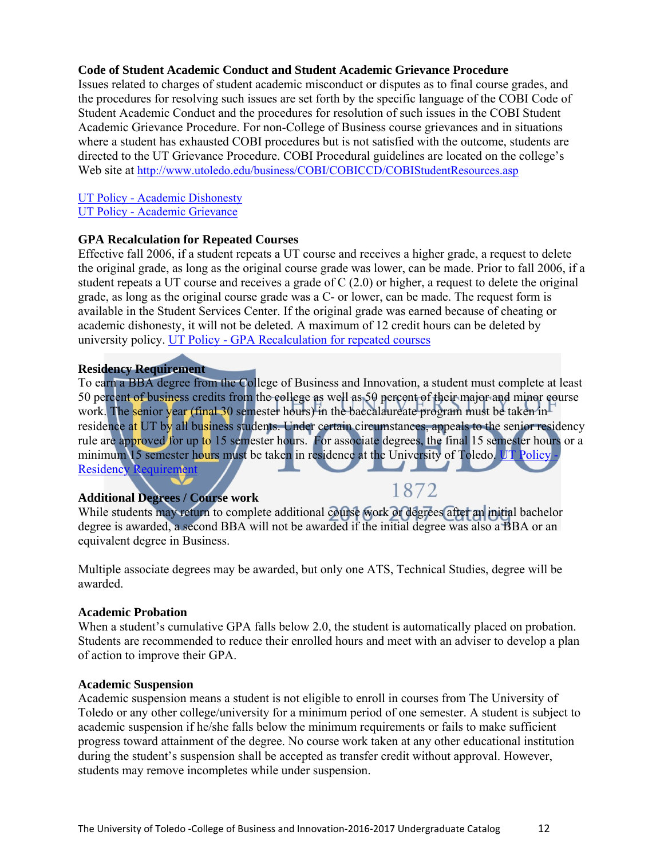#### **Code of Student Academic Conduct and Student Academic Grievance Procedure**

Issues related to charges of student academic misconduct or disputes as to final course grades, and the procedures for resolving such issues are set forth by the specific language of the COBI Code of Student Academic Conduct and the procedures for resolution of such issues in the COBI Student Academic Grievance Procedure. For non-College of Business course grievances and in situations where a student has exhausted COBI procedures but is not satisfied with the outcome, students are directed to the UT Grievance Procedure. COBI Procedural guidelines are located on the college's Web site at http://www.utoledo.edu/business/COBI/COBICCD/COBIStudentResources.asp

#### UT Policy - Academic Dishonesty UT Policy - Academic Grievance

# **GPA Recalculation for Repeated Courses**

Effective fall 2006, if a student repeats a UT course and receives a higher grade, a request to delete the original grade, as long as the original course grade was lower, can be made. Prior to fall 2006, if a student repeats a UT course and receives a grade of C (2.0) or higher, a request to delete the original grade, as long as the original course grade was a C- or lower, can be made. The request form is available in the Student Services Center. If the original grade was earned because of cheating or academic dishonesty, it will not be deleted. A maximum of 12 credit hours can be deleted by university policy. UT Policy - GPA Recalculation for repeated courses

# **Residency Requirement**

To earn a BBA degree from the College of Business and Innovation, a student must complete at least 50 percent of business credits from the college as well as 50 percent of their major and minor course work. The senior year (final 30 semester hours) in the baccalaureate program must be taken in residence at UT by all business students. Under certain circumstances, appeals to the senior residency rule are approved for up to 15 semester hours. For associate degrees, the final 15 semester hours or a minimum 15 semester hours must be taken in residence at the University of Toledo. UT Policy -Residency Requirement

# **Additional Degrees / Course work**

# 1872

While students may return to complete additional course work or degrees after an initial bachelor degree is awarded, a second BBA will not be awarded if the initial degree was also a BBA or an equivalent degree in Business.

Multiple associate degrees may be awarded, but only one ATS, Technical Studies, degree will be awarded.

# **Academic Probation**

When a student's cumulative GPA falls below 2.0, the student is automatically placed on probation. Students are recommended to reduce their enrolled hours and meet with an adviser to develop a plan of action to improve their GPA.

#### **Academic Suspension**

Academic suspension means a student is not eligible to enroll in courses from The University of Toledo or any other college/university for a minimum period of one semester. A student is subject to academic suspension if he/she falls below the minimum requirements or fails to make sufficient progress toward attainment of the degree. No course work taken at any other educational institution during the student's suspension shall be accepted as transfer credit without approval. However, students may remove incompletes while under suspension.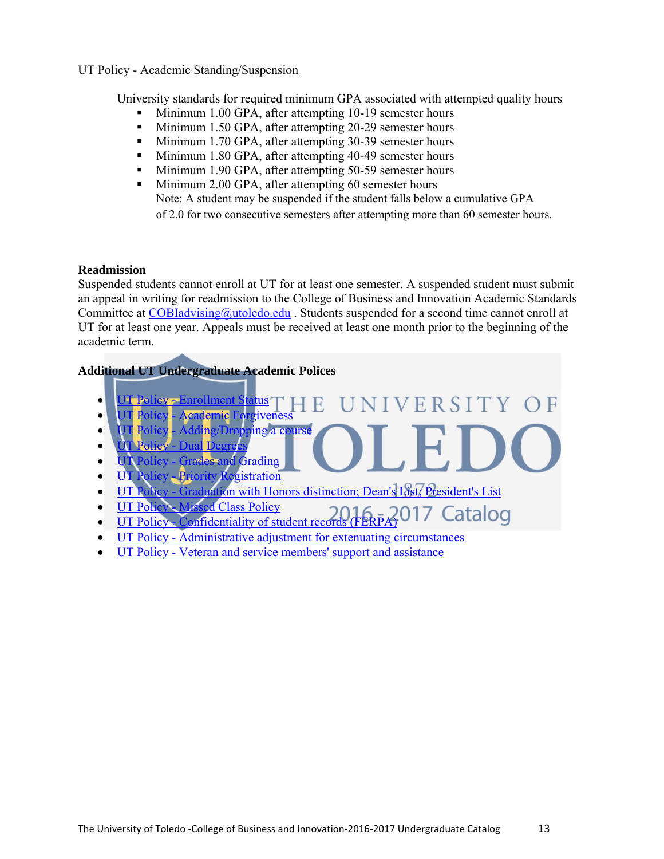# UT Policy - Academic Standing/Suspension

University standards for required minimum GPA associated with attempted quality hours

- Minimum 1.00 GPA, after attempting 10-19 semester hours
- Minimum 1.50 GPA, after attempting 20-29 semester hours
- **Minimum 1.70 GPA, after attempting 30-39 semester hours**
- Minimum 1.80 GPA, after attempting 40-49 semester hours
- **Minimum 1.90 GPA, after attempting 50-59 semester hours**
- **Minimum 2.00 GPA, after attempting 60 semester hours** Note: A student may be suspended if the student falls below a cumulative GPA of 2.0 for two consecutive semesters after attempting more than 60 semester hours.

#### **Readmission**

Suspended students cannot enroll at UT for at least one semester. A suspended student must submit an appeal in writing for readmission to the College of Business and Innovation Academic Standards Committee at COBIadvising@utoledo.edu. Students suspended for a second time cannot enroll at UT for at least one year. Appeals must be received at least one month prior to the beginning of the academic term.

# **Additional UT Undergraduate Academic Polices**

- UT Policy Enrollment Status J I V E R S I T Y 4 E
- **UT Policy Academic Forgiveness**
- **UT Policy Adding/Dropping a course**
- **UT Policy** Dual Degrees
- **UT Policy Grades and Grading**
- **UT Policy Priority Registration**
- UT Policy Graduation with Honors distinction; Dean's List; President's List
- **UT Policy Missed Class Policy**
- $\cdot$  UT Policy Confidentiality of student records (FERPA) 017 Catalog
- UT Policy Administrative adjustment for extenuating circumstances
- UT Policy Veteran and service members' support and assistance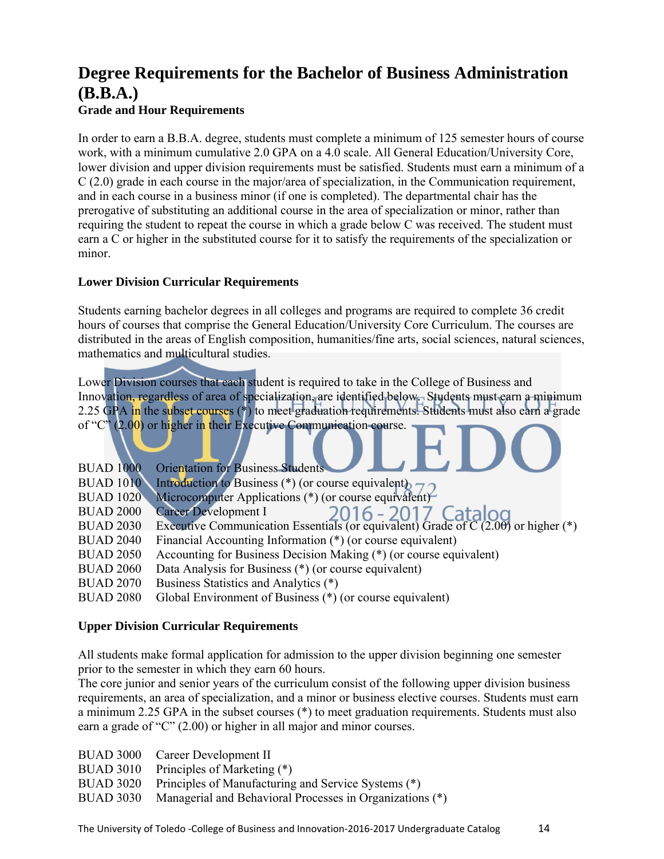# **Degree Requirements for the Bachelor of Business Administration (B.B.A.)**

# **Grade and Hour Requirements**

In order to earn a B.B.A. degree, students must complete a minimum of 125 semester hours of course work, with a minimum cumulative 2.0 GPA on a 4.0 scale. All General Education/University Core, lower division and upper division requirements must be satisfied. Students must earn a minimum of a C (2.0) grade in each course in the major/area of specialization, in the Communication requirement, and in each course in a business minor (if one is completed). The departmental chair has the prerogative of substituting an additional course in the area of specialization or minor, rather than requiring the student to repeat the course in which a grade below C was received. The student must earn a C or higher in the substituted course for it to satisfy the requirements of the specialization or minor.

# **Lower Division Curricular Requirements**

Students earning bachelor degrees in all colleges and programs are required to complete 36 credit hours of courses that comprise the General Education/University Core Curriculum. The courses are distributed in the areas of English composition, humanities/fine arts, social sciences, natural sciences, mathematics and multicultural studies.

Lower Division courses that each student is required to take in the College of Business and Innovation, regardless of area of specialization, are identified below. Students must earn a minimum 2.25 GPA in the subset courses (\*) to meet graduation requirements. Students must also earn a grade of "C" (2.00) or higher in their Executive Communication course.

| <b>Orientation for Business Students</b>                                                                                       |
|--------------------------------------------------------------------------------------------------------------------------------|
| Introduction to Business (*) (or course equivalent) $\sim \sim$                                                                |
| Microcomputer Applications (*) (or course equivalent)                                                                          |
|                                                                                                                                |
| Career Development I 2016 - 2017 Catalog<br>Executive Communication Essentials (or equivalent) Grade of C (2.00) or higher (*) |
| Financial Accounting Information (*) (or course equivalent)                                                                    |
| Accounting for Business Decision Making (*) (or course equivalent)                                                             |
| Data Analysis for Business (*) (or course equivalent)                                                                          |
| Business Statistics and Analytics (*)                                                                                          |
| Global Environment of Business (*) (or course equivalent)                                                                      |
|                                                                                                                                |

# **Upper Division Curricular Requirements**

All students make formal application for admission to the upper division beginning one semester prior to the semester in which they earn 60 hours.

The core junior and senior years of the curriculum consist of the following upper division business requirements, an area of specialization, and a minor or business elective courses. Students must earn a minimum 2.25 GPA in the subset courses (\*) to meet graduation requirements. Students must also earn a grade of "C" (2.00) or higher in all major and minor courses.

- BUAD 3000 Career Development II
- BUAD 3010 Principles of Marketing (\*)
- BUAD 3020 Principles of Manufacturing and Service Systems (\*)
- BUAD 3030 Managerial and Behavioral Processes in Organizations (\*)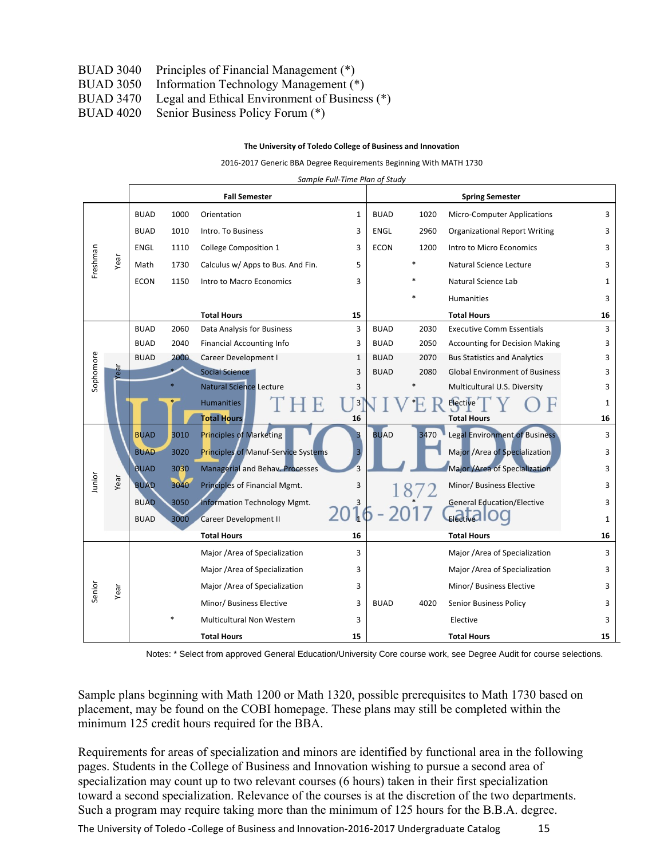- BUAD 3040 Principles of Financial Management (\*)
- BUAD 3050 Information Technology Management (\*)
- BUAD 3470 Legal and Ethical Environment of Business (\*)
- BUAD 4020 Senior Business Policy Forum (\*)

#### **The University of Toledo College of Business and Innovation**

2016‐2017 Generic BBA Degree Requirements Beginning With MATH 1730

| Sample Full-Time Plan of Study |  |
|--------------------------------|--|
|--------------------------------|--|

|                |      |             |                               | <b>Fall Semester</b>                |                         |             |                          | <b>Spring Semester</b>                |              |
|----------------|------|-------------|-------------------------------|-------------------------------------|-------------------------|-------------|--------------------------|---------------------------------------|--------------|
|                |      | <b>BUAD</b> | 1000                          | Orientation                         | 1                       | <b>BUAD</b> | 1020                     | <b>Micro-Computer Applications</b>    | 3            |
|                |      | <b>BUAD</b> | 1010                          | Intro. To Business                  | 3                       | <b>ENGL</b> | 2960                     | <b>Organizational Report Writing</b>  | 3            |
|                |      | <b>ENGL</b> | 1110                          | <b>College Composition 1</b>        | 3                       | <b>ECON</b> | 1200                     | Intro to Micro Economics              | 3            |
| Freshman       | Year | Math        | 1730                          | Calculus w/ Apps to Bus. And Fin.   | 5                       |             |                          | Natural Science Lecture               | 3            |
|                |      | <b>ECON</b> | 1150                          | Intro to Macro Economics            | 3                       |             |                          | Natural Science Lab                   | $\mathbf{1}$ |
|                |      |             |                               |                                     |                         |             |                          | <b>Humanities</b>                     | 3            |
|                |      |             |                               | <b>Total Hours</b>                  | 15                      |             |                          | <b>Total Hours</b>                    | 16           |
|                |      | <b>BUAD</b> | 2060                          | Data Analysis for Business          | 3                       | <b>BUAD</b> | 2030                     | <b>Executive Comm Essentials</b>      | 3            |
|                |      | <b>BUAD</b> | 2040                          | <b>Financial Accounting Info</b>    | 3                       | <b>BUAD</b> | 2050                     | <b>Accounting for Decision Making</b> | 3            |
|                |      | <b>BUAD</b> | 2000                          | Career Development I                | 1                       | <b>BUAD</b> | 2070                     | <b>Bus Statistics and Analytics</b>   | 3            |
| Sophomore      | Year |             |                               | <b>Social Science</b>               | 3                       | <b>BUAD</b> | 2080                     | <b>Global Environment of Business</b> | 3            |
|                |      |             |                               | <b>Natural Science Lecture</b>      | 3                       |             |                          | Multicultural U.S. Diversity          | 3            |
|                |      |             |                               | <b>Humanities</b>                   | $\overline{\mathbf{3}}$ |             |                          | <b>Elective</b>                       | $\mathbf{1}$ |
|                |      |             |                               | <b>Total Hours</b>                  | 16                      |             |                          | <b>Total Hours</b>                    | 16           |
|                |      | <b>BUAD</b> | 3010                          | Principles of Marketing             | 3                       | <b>BUAD</b> | 3470                     | <b>Legal Environment of Business</b>  | 3            |
|                |      | <b>BUAD</b> | 3020                          | Principles of Manuf-Service Systems | $\overline{3}$          |             |                          | Major /Area of Specialization         | 3            |
|                |      | <b>BUAD</b> | 3030                          | Managerial and Behav. Processes     | ξ                       |             |                          | Major /Area of Specialization         | 3            |
| Junior         | Year | <b>BUAD</b> | 3040                          | Principles of Financial Mgmt.       | 3                       |             |                          | Minor/ Business Elective              | 3            |
|                |      | <b>BUAD</b> | 3050                          | Information Technology Mgmt.        |                         |             |                          | <b>General Education/Elective</b>     | 3            |
|                |      | <b>BUAD</b> | 3000                          | <b>Career Development II</b>        | 1                       |             |                          |                                       | $\mathbf{1}$ |
|                |      |             |                               | <b>Total Hours</b>                  | 16                      |             |                          | <b>Total Hours</b>                    | 16           |
|                |      |             |                               | Major /Area of Specialization       | 3                       |             |                          | Major /Area of Specialization         | 3            |
|                |      |             |                               | Major /Area of Specialization       | 3                       |             |                          | Major /Area of Specialization         | 3            |
| Senior<br>Year |      |             | Major /Area of Specialization | 3                                   |                         |             | Minor/ Business Elective | 3                                     |              |
|                |      |             |                               | Minor/ Business Elective            | 3                       | <b>BUAD</b> | 4020                     | Senior Business Policy                | 3            |
|                |      |             |                               | Multicultural Non Western           | 3                       |             |                          | Elective                              | 3            |
|                |      |             |                               | <b>Total Hours</b>                  | 15                      |             |                          | <b>Total Hours</b>                    | 15           |

Notes: \* Select from approved General Education/University Core course work, see Degree Audit for course selections.

Sample plans beginning with Math 1200 or Math 1320, possible prerequisites to Math 1730 based on placement, may be found on the COBI homepage. These plans may still be completed within the minimum 125 credit hours required for the BBA.

Requirements for areas of specialization and minors are identified by functional area in the following pages. Students in the College of Business and Innovation wishing to pursue a second area of specialization may count up to two relevant courses (6 hours) taken in their first specialization toward a second specialization. Relevance of the courses is at the discretion of the two departments. Such a program may require taking more than the minimum of 125 hours for the B.B.A. degree.

The University of Toledo -College of Business and Innovation-2016-2017 Undergraduate Catalog 25 15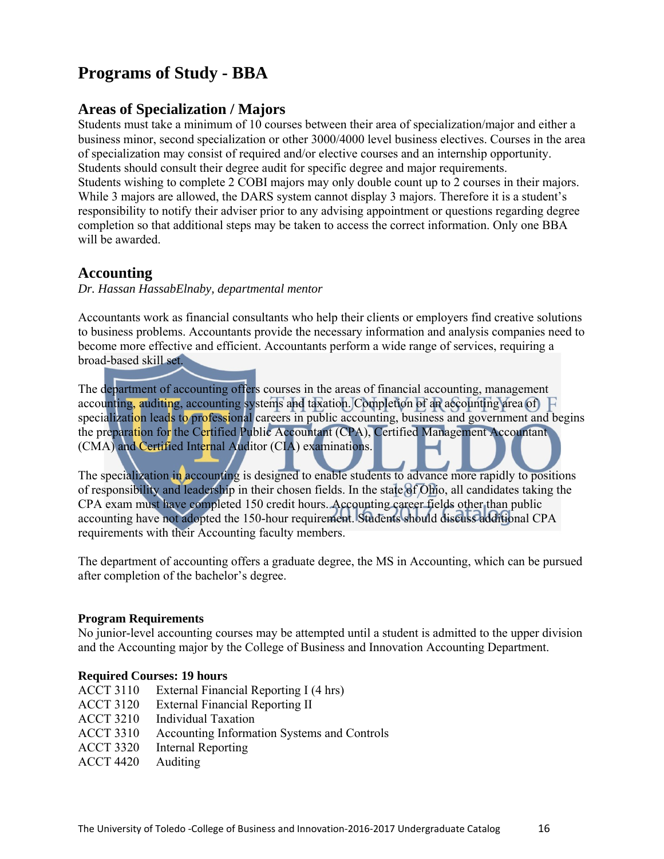# **Programs of Study - BBA**

# **Areas of Specialization / Majors**

Students must take a minimum of 10 courses between their area of specialization/major and either a business minor, second specialization or other 3000/4000 level business electives. Courses in the area of specialization may consist of required and/or elective courses and an internship opportunity. Students should consult their degree audit for specific degree and major requirements. Students wishing to complete 2 COBI majors may only double count up to 2 courses in their majors. While 3 majors are allowed, the DARS system cannot display 3 majors. Therefore it is a student's responsibility to notify their adviser prior to any advising appointment or questions regarding degree completion so that additional steps may be taken to access the correct information. Only one BBA will be awarded.

# **Accounting**

*Dr. Hassan HassabElnaby, departmental mentor* 

Accountants work as financial consultants who help their clients or employers find creative solutions to business problems. Accountants provide the necessary information and analysis companies need to become more effective and efficient. Accountants perform a wide range of services, requiring a broad-based skill set.

The department of accounting offers courses in the areas of financial accounting, management accounting, auditing, accounting systems and taxation. Completion of an accounting area of F specialization leads to professional careers in public accounting, business and government and begins the preparation for the Certified Public Accountant (CPA), Certified Management Accountant (CMA) and Certified Internal Auditor (CIA) examinations.

The specialization in accounting is designed to enable students to advance more rapidly to positions of responsibility and leadership in their chosen fields. In the state of Ohio, all candidates taking the CPA exam must have completed 150 credit hours. Accounting career fields other than public accounting have not adopted the 150-hour requirement. Students should discuss additional CPA requirements with their Accounting faculty members.

The department of accounting offers a graduate degree, the MS in Accounting, which can be pursued after completion of the bachelor's degree.

# **Program Requirements**

No junior-level accounting courses may be attempted until a student is admitted to the upper division and the Accounting major by the College of Business and Innovation Accounting Department.

# **Required Courses: 19 hours**

| <b>ACCT 3110</b> | External Financial Reporting I (4 hrs)      |
|------------------|---------------------------------------------|
| <b>ACCT 3120</b> | <b>External Financial Reporting II</b>      |
| <b>ACCT 3210</b> | <b>Individual Taxation</b>                  |
| <b>ACCT 3310</b> | Accounting Information Systems and Controls |
| <b>ACCT 3320</b> | <b>Internal Reporting</b>                   |
| <b>ACCT 4420</b> | Auditing                                    |
|                  |                                             |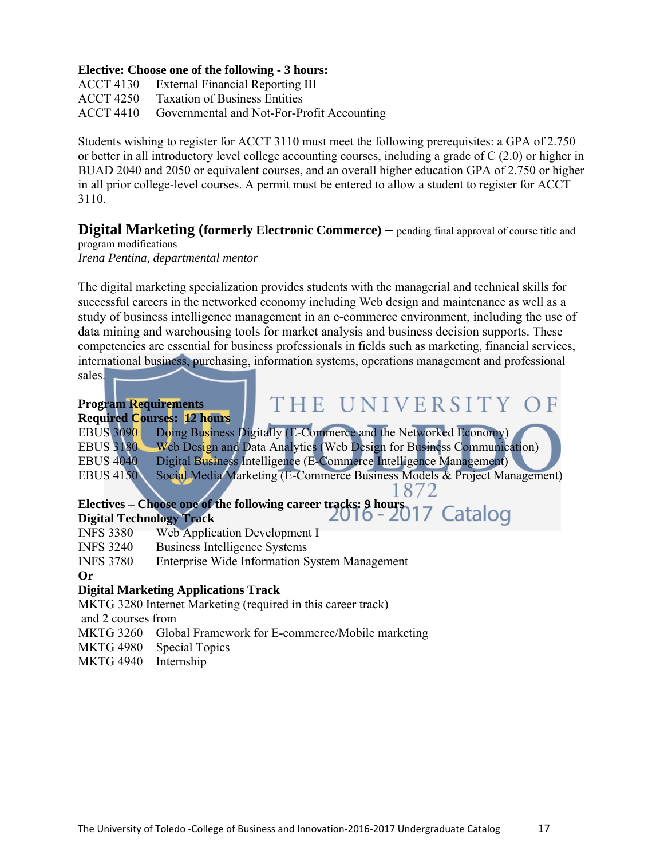#### **Elective: Choose one of the following - 3 hours:**

ACCT 4130 External Financial Reporting III ACCT 4250 Taxation of Business Entities ACCT 4410 Governmental and Not-For-Profit Accounting

Students wishing to register for ACCT 3110 must meet the following prerequisites: a GPA of 2.750 or better in all introductory level college accounting courses, including a grade of C (2.0) or higher in BUAD 2040 and 2050 or equivalent courses, and an overall higher education GPA of 2.750 or higher in all prior college-level courses. A permit must be entered to allow a student to register for ACCT 3110.

**Digital Marketing (formerly Electronic Commerce)** – pending final approval of course title and program modifications

*Irena Pentina, departmental mentor* 

The digital marketing specialization provides students with the managerial and technical skills for successful careers in the networked economy including Web design and maintenance as well as a study of business intelligence management in an e-commerce environment, including the use of data mining and warehousing tools for market analysis and business decision supports. These competencies are essential for business professionals in fields such as marketing, financial services, international business, purchasing, information systems, operations management and professional sales.

|                    | THE UNIVERSITY OF<br><b>Program Requirements</b>                                                                    |
|--------------------|---------------------------------------------------------------------------------------------------------------------|
|                    | <b>Required Courses: 12 hours</b>                                                                                   |
| <b>EBUS 3090</b>   | Doing Business Digitally (E-Commerce and the Networked Economy)                                                     |
| <b>EBUS 3180</b>   | Web Design and Data Analytics (Web Design for Business Communication)                                               |
| <b>EBUS 4040</b>   | Digital Business Intelligence (E-Commerce Intelligence Management)                                                  |
| <b>EBUS 4150</b>   | Social Media Marketing (E-Commerce Business Models & Project Management)                                            |
|                    |                                                                                                                     |
|                    | Electives – Choose one of the following career tracks: 9 hours<br>Digital Technology Track<br>$2016 - 2017$ Catalog |
|                    | <b>Digital Technology Track</b>                                                                                     |
| <b>INFS 3380</b>   | <b>Web Application Development I</b>                                                                                |
| <b>INFS 3240</b>   | <b>Business Intelligence Systems</b>                                                                                |
| <b>INFS 3780</b>   | <b>Enterprise Wide Information System Management</b>                                                                |
| Or                 |                                                                                                                     |
|                    | <b>Digital Marketing Applications Track</b>                                                                         |
|                    | MKTG 3280 Internet Marketing (required in this career track)                                                        |
| and 2 courses from |                                                                                                                     |

- MKTG 3260 Global Framework for E-commerce/Mobile marketing
- MKTG 4980 Special Topics
- MKTG 4940 Internship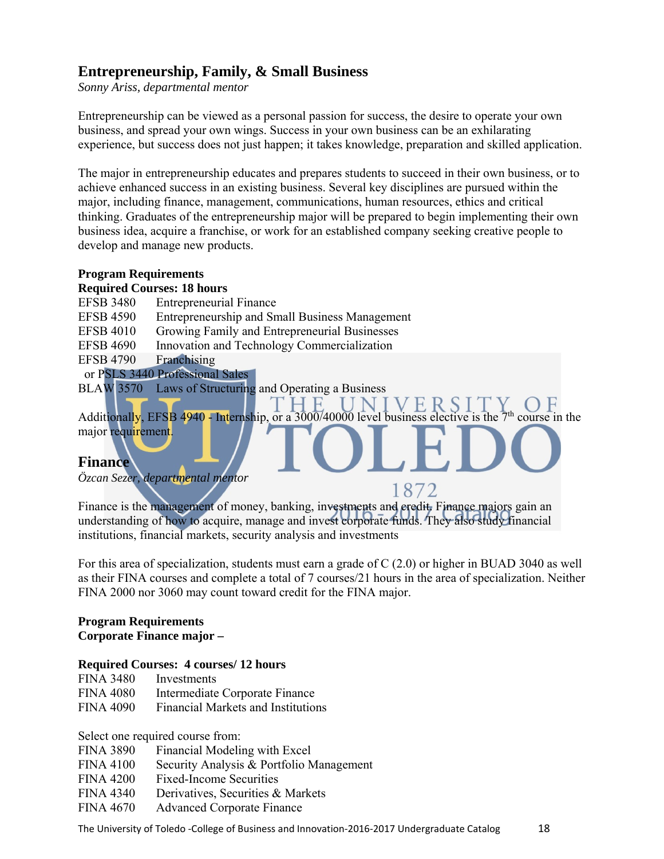# **Entrepreneurship, Family, & Small Business**

*Sonny Ariss, departmental mentor* 

Entrepreneurship can be viewed as a personal passion for success, the desire to operate your own business, and spread your own wings. Success in your own business can be an exhilarating experience, but success does not just happen; it takes knowledge, preparation and skilled application.

The major in entrepreneurship educates and prepares students to succeed in their own business, or to achieve enhanced success in an existing business. Several key disciplines are pursued within the major, including finance, management, communications, human resources, ethics and critical thinking. Graduates of the entrepreneurship major will be prepared to begin implementing their own business idea, acquire a franchise, or work for an established company seeking creative people to develop and manage new products.

#### **Program Requirements Required Courses: 18 hours**

- EFSB 3480 Entrepreneurial Finance
- EFSB 4590 Entrepreneurship and Small Business Management
- EFSB 4010 Growing Family and Entrepreneurial Businesses
- EFSB 4690 Innovation and Technology Commercialization

EFSB 4790 Franchising

or PSLS 3440 Professional Sales

BLAW 3570 Laws of Structuring and Operating a Business

Additionally, EFSB 4940 - Internship, or a  $3000/40000$  level business elective is the  $7<sup>th</sup>$  course in the major requirement.

1872

H.

# **Finance**

*Özcan Sezer, departmental mentor* 

Finance is the management of money, banking, investments and credit. Finance majors gain an understanding of how to acquire, manage and invest corporate funds. They also study financial institutions, financial markets, security analysis and investments

For this area of specialization, students must earn a grade of C (2.0) or higher in BUAD 3040 as well as their FINA courses and complete a total of 7 courses/21 hours in the area of specialization. Neither FINA 2000 nor 3060 may count toward credit for the FINA major.

# **Program Requirements Corporate Finance major –**

# **Required Courses: 4 courses/ 12 hours**

| <b>FINA 3480</b> | Investments                               |
|------------------|-------------------------------------------|
| <b>FINA 4080</b> | Intermediate Corporate Finance            |
| <b>FINA 4090</b> | <b>Financial Markets and Institutions</b> |

Select one required course from:

- FINA 3890 Financial Modeling with Excel
- FINA 4100 Security Analysis & Portfolio Management
- FINA 4200 Fixed-Income Securities
- FINA 4340 Derivatives, Securities & Markets
- FINA 4670 Advanced Corporate Finance

The University of Toledo -College of Business and Innovation-2016-2017 Undergraduate Catalog 28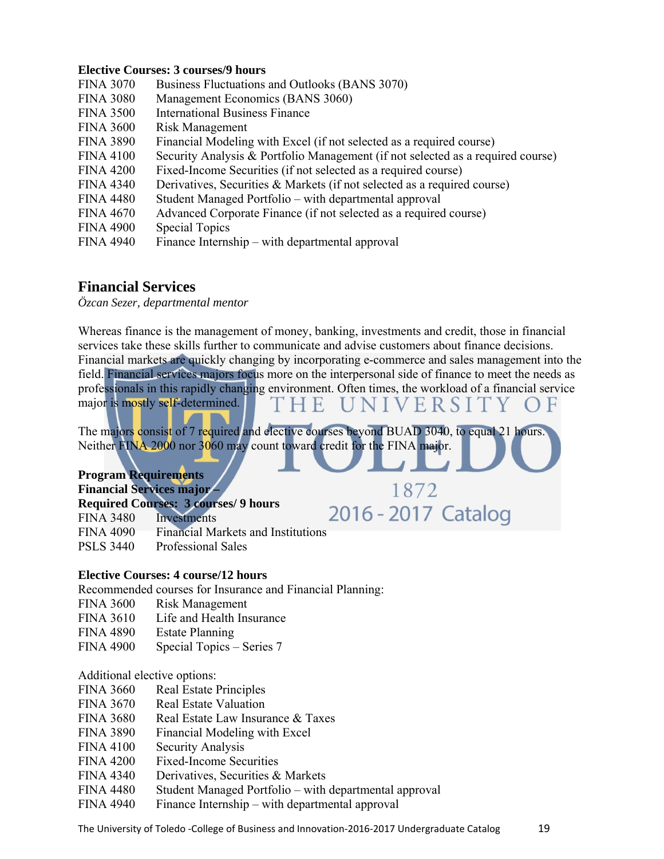#### **Elective Courses: 3 courses/9 hours**

| <b>FINA 3070</b> | Business Fluctuations and Outlooks (BANS 3070)                                  |
|------------------|---------------------------------------------------------------------------------|
| <b>FINA 3080</b> | Management Economics (BANS 3060)                                                |
| <b>FINA 3500</b> | <b>International Business Finance</b>                                           |
| <b>FINA 3600</b> | <b>Risk Management</b>                                                          |
| <b>FINA 3890</b> | Financial Modeling with Excel (if not selected as a required course)            |
| <b>FINA 4100</b> | Security Analysis & Portfolio Management (if not selected as a required course) |
| <b>FINA 4200</b> | Fixed-Income Securities (if not selected as a required course)                  |
| <b>FINA 4340</b> | Derivatives, Securities $\&$ Markets (if not selected as a required course)     |
| <b>FINA 4480</b> | Student Managed Portfolio – with departmental approval                          |
| <b>FINA 4670</b> | Advanced Corporate Finance (if not selected as a required course)               |
| <b>FINA 4900</b> | <b>Special Topics</b>                                                           |
| <b>FINA 4940</b> | Finance Internship – with departmental approval                                 |
|                  |                                                                                 |

# **Financial Services**

*Özcan Sezer, departmental mentor* 

Whereas finance is the management of money, banking, investments and credit, those in financial services take these skills further to communicate and advise customers about finance decisions. Financial markets are quickly changing by incorporating e-commerce and sales management into the field. Financial services majors focus more on the interpersonal side of finance to meet the needs as professionals in this rapidly changing environment. Often times, the workload of a financial service major is mostly self-determined. NIVERSIT H E

1872

2016 - 2017 Catalog

The majors consist of 7 required and elective courses beyond BUAD 3040, to equal 21 hours. Neither FINA 2000 nor 3060 may count toward credit for the FINA major.

**Program Requirements Financial Services major – Required Courses: 3 courses/ 9 hours**  FINA 3480 Investments FINA 4090 Financial Markets and Institutions PSLS 3440 Professional Sales

# **Elective Courses: 4 course/12 hours**

Recommended courses for Insurance and Financial Planning:

- FINA 3600 Risk Management
- FINA 3610 Life and Health Insurance
- FINA 4890 Estate Planning
- FINA 4900 Special Topics Series 7

#### Additional elective options:

- FINA 3660 Real Estate Principles
- FINA 3670 Real Estate Valuation
- FINA 3680 Real Estate Law Insurance & Taxes
- FINA 3890 Financial Modeling with Excel
- FINA 4100 Security Analysis
- FINA 4200 Fixed-Income Securities
- FINA 4340 Derivatives, Securities & Markets
- FINA 4480 Student Managed Portfolio with departmental approval
- FINA 4940 Finance Internship with departmental approval

The University of Toledo -College of Business and Innovation-2016-2017 Undergraduate Catalog 2019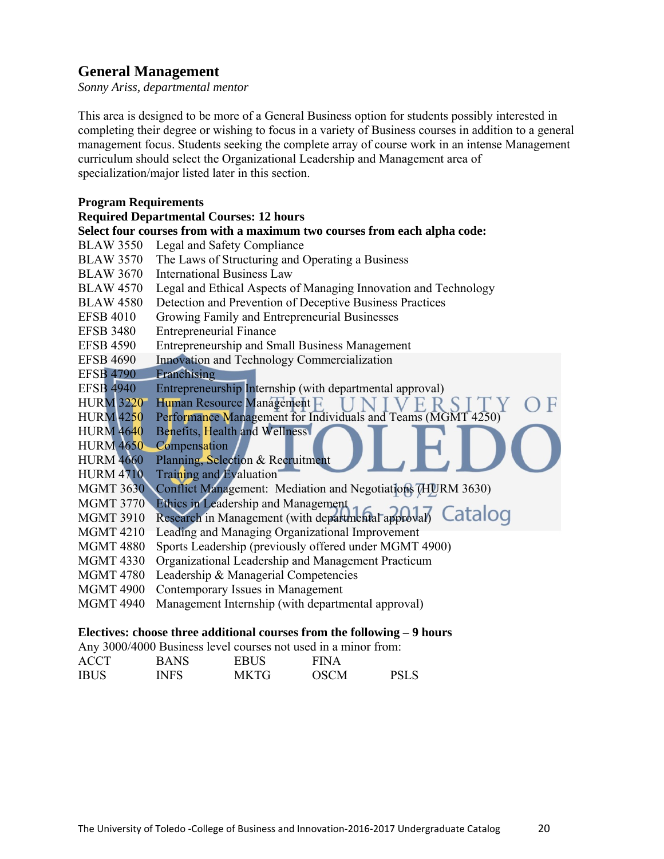# **General Management**

*Sonny Ariss, departmental mentor* 

This area is designed to be more of a General Business option for students possibly interested in completing their degree or wishing to focus in a variety of Business courses in addition to a general management focus. Students seeking the complete array of course work in an intense Management curriculum should select the Organizational Leadership and Management area of specialization/major listed later in this section.

#### **Program Requirements**

# **Required Departmental Courses: 12 hours**

|                  | Select four courses from with a maximum two courses from each alpha code: |
|------------------|---------------------------------------------------------------------------|
| <b>BLAW 3550</b> | Legal and Safety Compliance                                               |
| <b>BLAW 3570</b> | The Laws of Structuring and Operating a Business                          |
| <b>BLAW 3670</b> | <b>International Business Law</b>                                         |
| <b>BLAW 4570</b> | Legal and Ethical Aspects of Managing Innovation and Technology           |
| <b>BLAW 4580</b> | Detection and Prevention of Deceptive Business Practices                  |
| <b>EFSB 4010</b> | Growing Family and Entrepreneurial Businesses                             |
| <b>EFSB 3480</b> | <b>Entrepreneurial Finance</b>                                            |
| <b>EFSB 4590</b> | Entrepreneurship and Small Business Management                            |
| <b>EFSB 4690</b> | Innovation and Technology Commercialization                               |
| <b>EFSB 4790</b> | Franchising                                                               |
| <b>EFSB 4940</b> | Entrepreneurship Internship (with departmental approval)                  |
| <b>HURM 3220</b> | Human Resource Management F<br>F                                          |
| <b>HURM 4250</b> | Performance Management for Individuals and Teams (MGMT 4250)              |
| <b>HURM 4640</b> | Benefits, Health and Wellness                                             |
| <b>HURM 4650</b> | Compensation                                                              |
| <b>HURM 4660</b> | Planning, Selection & Recruitment                                         |
| <b>HURM 4710</b> | Training and Evaluation                                                   |
| <b>MGMT 3630</b> | Conflict Management: Mediation and Negotiations (HURM 3630)               |
| <b>MGMT 3770</b> | Ethics in Leadership and Management                                       |
| <b>MGMT 3910</b> | Research in Management (with departmental approval) Catalog               |
| <b>MGMT 4210</b> | Leading and Managing Organizational Improvement                           |
| <b>MGMT 4880</b> | Sports Leadership (previously offered under MGMT 4900)                    |
| <b>MGMT 4330</b> | Organizational Leadership and Management Practicum                        |
| <b>MGMT 4780</b> | Leadership & Managerial Competencies                                      |
| <b>MGMT 4900</b> | Contemporary Issues in Management                                         |
| <b>MGMT 4940</b> | Management Internship (with departmental approval)                        |

#### **Electives: choose three additional courses from the following – 9 hours**

Any 3000/4000 Business level courses not used in a minor from:

| <b>ACCT</b> | <b>BANS</b> | <b>EBUS</b> | <b>FINA</b> |      |
|-------------|-------------|-------------|-------------|------|
| <b>IBUS</b> | INFS        | <b>MKTG</b> | <b>OSCM</b> | PSLS |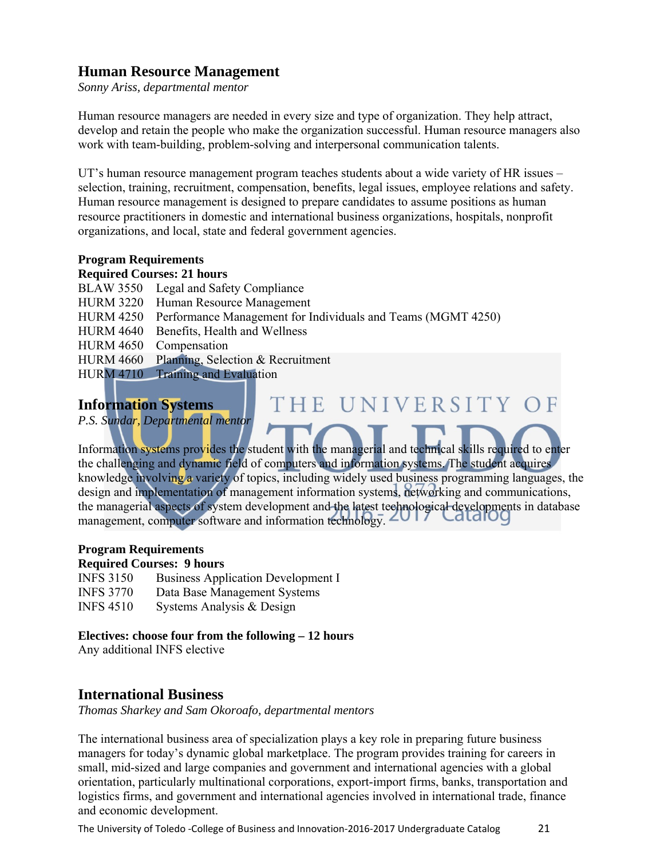# **Human Resource Management**

*Sonny Ariss, departmental mentor* 

Human resource managers are needed in every size and type of organization. They help attract, develop and retain the people who make the organization successful. Human resource managers also work with team-building, problem-solving and interpersonal communication talents.

UT's human resource management program teaches students about a wide variety of HR issues – selection, training, recruitment, compensation, benefits, legal issues, employee relations and safety. Human resource management is designed to prepare candidates to assume positions as human resource practitioners in domestic and international business organizations, hospitals, nonprofit organizations, and local, state and federal government agencies.

# **Program Requirements**

#### **Required Courses: 21 hours**

BLAW 3550 Legal and Safety Compliance HURM 3220 Human Resource Management HURM 4250 Performance Management for Individuals and Teams (MGMT 4250) HURM 4640 Benefits, Health and Wellness HURM 4650 Compensation HURM 4660 Planning, Selection & Recruitment HURM 4710 Training and Evaluation

# **Information Systems**

*P.S. Sundar, Departmental mentor* 

Information systems provides the student with the managerial and technical skills required to enter the challenging and dynamic field of computers and information systems. The student acquires knowledge involving a variety of topics, including widely used business programming languages, the design and implementation of management information systems, networking and communications, the managerial aspects of system development and the latest technological developments in database management, computer software and information technology.  $2017$ 

THE UNIVERSITY OF

# **Program Requirements**

#### **Required Courses: 9 hours**

INFS 3150 Business Application Development I INFS 3770 Data Base Management Systems INFS 4510 Systems Analysis & Design

# **Electives: choose four from the following – 12 hours**

Any additional INFS elective

# **International Business**

*Thomas Sharkey and Sam Okoroafo, departmental mentors* 

The international business area of specialization plays a key role in preparing future business managers for today's dynamic global marketplace. The program provides training for careers in small, mid-sized and large companies and government and international agencies with a global orientation, particularly multinational corporations, export-import firms, banks, transportation and logistics firms, and government and international agencies involved in international trade, finance and economic development.

The University of Toledo -College of Business and Innovation-2016-2017 Undergraduate Catalog 21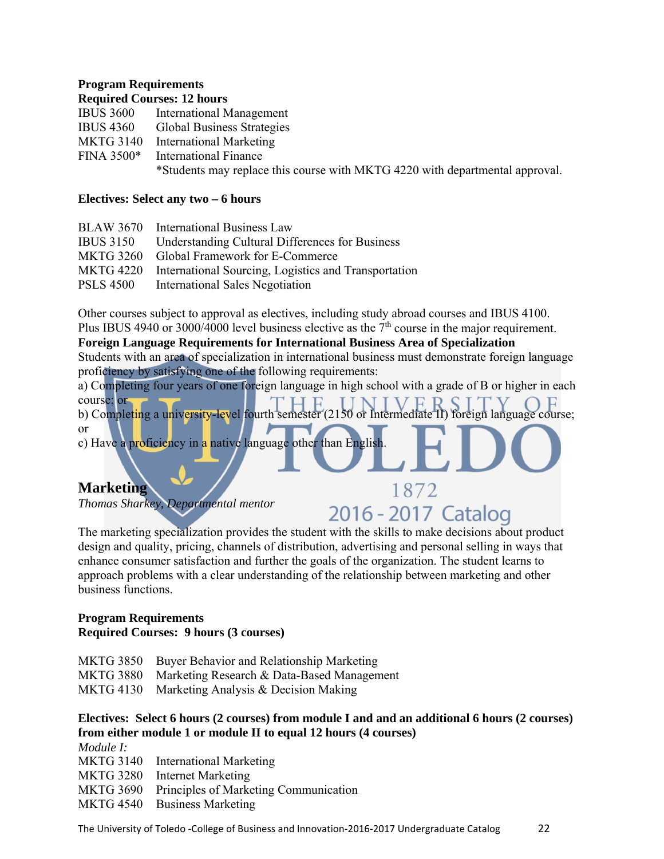# **Program Requirements**

|                  | <b>Required Courses: 12 hours</b>                                            |
|------------------|------------------------------------------------------------------------------|
|                  | IBUS 3600 International Management                                           |
| <b>IBUS 4360</b> | <b>Global Business Strategies</b>                                            |
|                  | MKTG 3140 International Marketing                                            |
|                  | FINA 3500* International Finance                                             |
|                  | *Students may replace this course with MKTG 4220 with departmental approval. |

# **Electives: Select any two – 6 hours**

|                  | BLAW 3670 International Business Law                           |
|------------------|----------------------------------------------------------------|
| <b>IBUS 3150</b> | <b>Understanding Cultural Differences for Business</b>         |
|                  | MKTG 3260 Global Framework for E-Commerce                      |
|                  | MKTG 4220 International Sourcing, Logistics and Transportation |
| <b>PSLS 4500</b> | <b>International Sales Negotiation</b>                         |

Other courses subject to approval as electives, including study abroad courses and IBUS 4100. Plus IBUS 4940 or 3000/4000 level business elective as the  $7<sup>th</sup>$  course in the major requirement.

**Foreign Language Requirements for International Business Area of Specialization**  Students with an area of specialization in international business must demonstrate foreign language proficiency by satisfying one of the following requirements:

a) Completing four years of one foreign language in high school with a grade of B or higher in each course; or

b) Completing a university-level fourth semester (2150 or Intermediate II) foreign language course; or

c) Have a proficiency in a native language other than English.

# **Marketing**

*Thomas Sharkey, Departmental mentor* 

# 2016 - 2017 Catalog

1872

The marketing specialization provides the student with the skills to make decisions about product design and quality, pricing, channels of distribution, advertising and personal selling in ways that enhance consumer satisfaction and further the goals of the organization. The student learns to approach problems with a clear understanding of the relationship between marketing and other business functions.

# **Program Requirements Required Courses: 9 hours (3 courses)**

| MKTG 3850 Buyer Behavior and Relationship Marketing  |
|------------------------------------------------------|
| MKTG 3880 Marketing Research & Data-Based Management |
| MKTG 4130 Marketing Analysis & Decision Making       |

# **Electives: Select 6 hours (2 courses) from module I and and an additional 6 hours (2 courses) from either module 1 or module II to equal 12 hours (4 courses)**

*Module I:*  MKTG 3140 International Marketing MKTG 3280 Internet Marketing MKTG 3690 Principles of Marketing Communication MKTG 4540 Business Marketing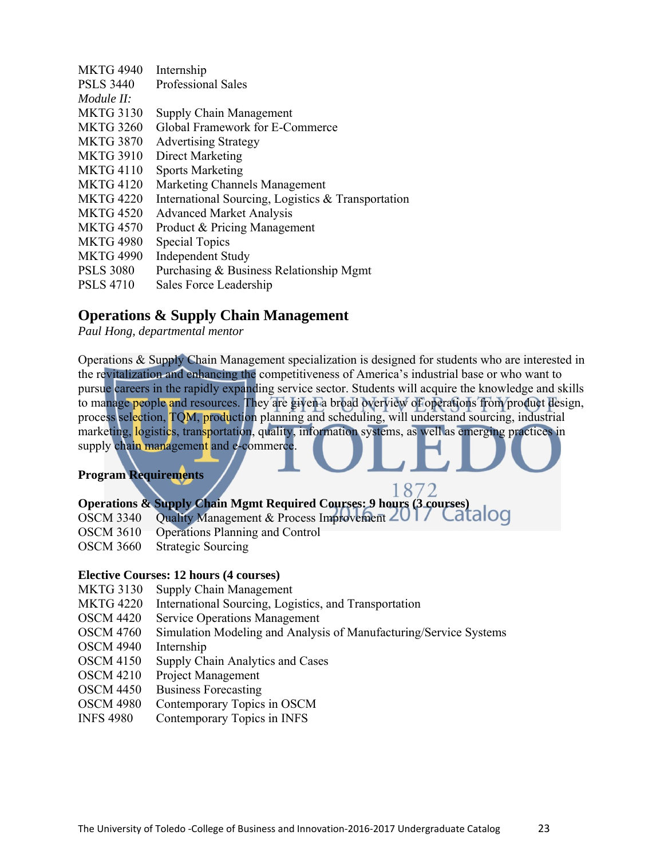| <b>MKTG 4940</b> | Internship                                         |
|------------------|----------------------------------------------------|
| <b>PSLS 3440</b> | <b>Professional Sales</b>                          |
| Module $H$ :     |                                                    |
| <b>MKTG 3130</b> | Supply Chain Management                            |
| <b>MKTG 3260</b> | Global Framework for E-Commerce                    |
| <b>MKTG 3870</b> | <b>Advertising Strategy</b>                        |
| <b>MKTG 3910</b> | Direct Marketing                                   |
| <b>MKTG 4110</b> | <b>Sports Marketing</b>                            |
| <b>MKTG 4120</b> | <b>Marketing Channels Management</b>               |
| <b>MKTG 4220</b> | International Sourcing, Logistics & Transportation |
| <b>MKTG 4520</b> | <b>Advanced Market Analysis</b>                    |
| <b>MKTG 4570</b> | Product & Pricing Management                       |
| <b>MKTG 4980</b> | <b>Special Topics</b>                              |
| <b>MKTG 4990</b> | <b>Independent Study</b>                           |
| <b>PSLS 3080</b> | Purchasing & Business Relationship Mgmt            |
| <b>PSLS 4710</b> | Sales Force Leadership                             |

# **Operations & Supply Chain Management**

*Paul Hong, departmental mentor* 

Operations & Supply Chain Management specialization is designed for students who are interested in the revitalization and enhancing the competitiveness of America's industrial base or who want to pursue careers in the rapidly expanding service sector. Students will acquire the knowledge and skills to manage people and resources. They are given a broad overview of operations from product design, process selection, TQM, production planning and scheduling, will understand sourcing, industrial marketing, logistics, transportation, quality, information systems, as well as emerging practices in supply chain management and e-commerce.

# **Program Requirements**

# 1872 **Operations & Supply Chain Mgmt Required Courses: 9 hours (3 courses)**

- OSCM 3340 Quality Management & Process Improvement  $201/$  Catalog
- OSCM 3610 Operations Planning and Control
- OSCM 3660 Strategic Sourcing

# **Elective Courses: 12 hours (4 courses)**

- MKTG 3130 Supply Chain Management
- MKTG 4220 International Sourcing, Logistics, and Transportation
- OSCM 4420 Service Operations Management
- OSCM 4760 Simulation Modeling and Analysis of Manufacturing/Service Systems
- OSCM 4940 Internship
- OSCM 4150 Supply Chain Analytics and Cases
- OSCM 4210 Project Management
- OSCM 4450 Business Forecasting
- OSCM 4980 Contemporary Topics in OSCM
- INFS 4980 Contemporary Topics in INFS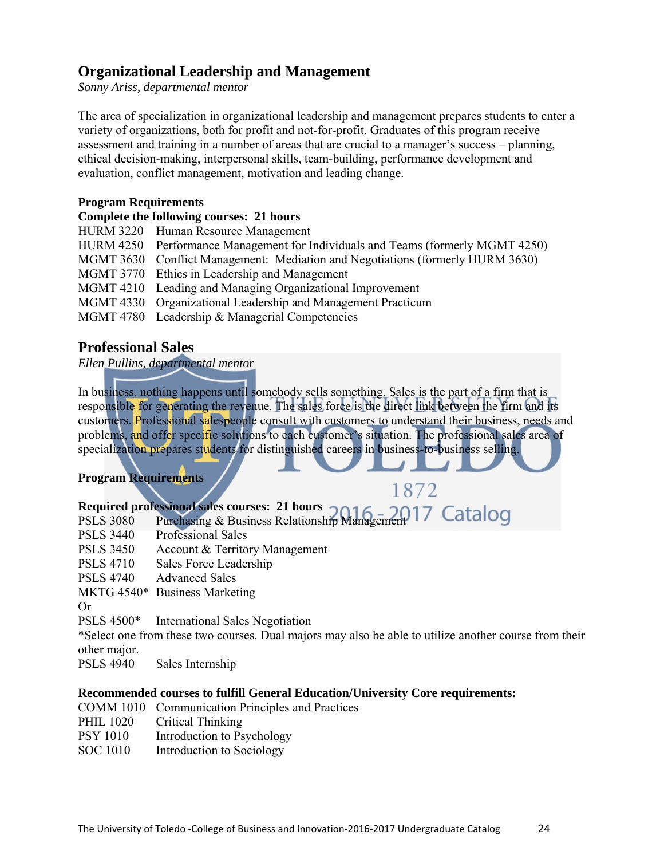# **Organizational Leadership and Management**

*Sonny Ariss, departmental mentor* 

The area of specialization in organizational leadership and management prepares students to enter a variety of organizations, both for profit and not-for-profit. Graduates of this program receive assessment and training in a number of areas that are crucial to a manager's success – planning, ethical decision-making, interpersonal skills, team-building, performance development and evaluation, conflict management, motivation and leading change.

#### **Program Requirements**

# **Complete the following courses: 21 hours**

HURM 3220 Human Resource Management HURM 4250 Performance Management for Individuals and Teams (formerly MGMT 4250) MGMT 3630 Conflict Management: Mediation and Negotiations (formerly HURM 3630) MGMT 3770 Ethics in Leadership and Management MGMT 4210 Leading and Managing Organizational Improvement MGMT 4330 Organizational Leadership and Management Practicum MGMT 4780 Leadership & Managerial Competencies

# **Professional Sales**

*Ellen Pullins, departmental mentor* 

In business, nothing happens until somebody sells something. Sales is the part of a firm that is responsible for generating the revenue. The sales force is the direct link between the firm and its customers. Professional salespeople consult with customers to understand their business, needs and problems, and offer specific solutions to each customer's situation. The professional sales area of specialization prepares students for distinguished careers in business-to-business selling.

 $1872$ 

# **Program Requirements**

|           | Required professional sales courses: 21 hours<br>PSLS 3080 Purchasing & Business Relationship Management 17 Catalog |  |
|-----------|---------------------------------------------------------------------------------------------------------------------|--|
| PSLS 3440 | <b>Professional Sales</b>                                                                                           |  |
| PCTC2150  |                                                                                                                     |  |

- PSLS 3450 Account & Territory Management
- PSLS 4710 Sales Force Leadership
- PSLS 4740 Advanced Sales
- MKTG 4540\* Business Marketing

Or

PSLS 4500\* International Sales Negotiation

\*Select one from these two courses. Dual majors may also be able to utilize another course from their other major.

PSLS 4940 Sales Internship

# **Recommended courses to fulfill General Education/University Core requirements:**

- COMM 1010 Communication Principles and Practices
- PHIL 1020 Critical Thinking
- PSY 1010 Introduction to Psychology
- SOC 1010 Introduction to Sociology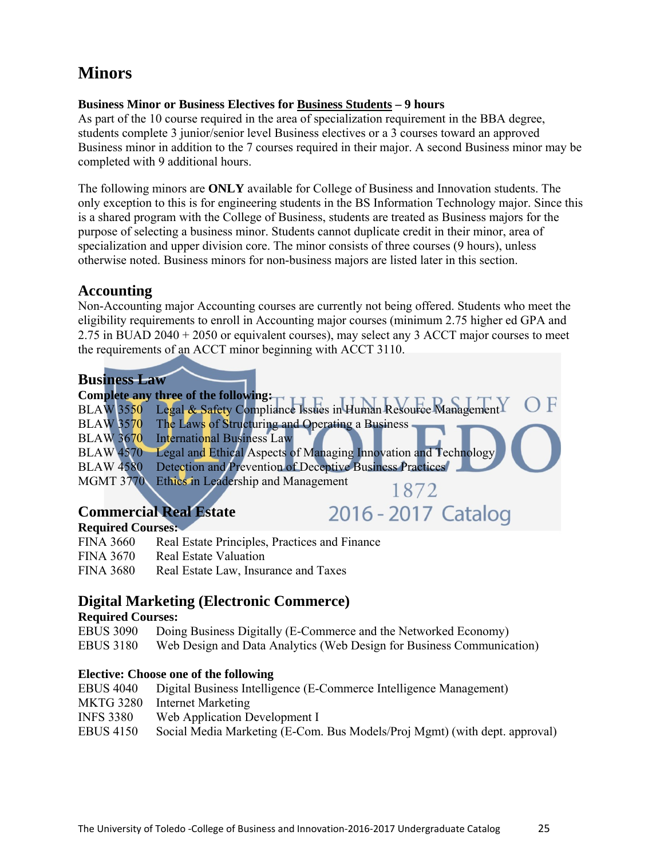# **Minors**

# **Business Minor or Business Electives for Business Students – 9 hours**

As part of the 10 course required in the area of specialization requirement in the BBA degree, students complete 3 junior/senior level Business electives or a 3 courses toward an approved Business minor in addition to the 7 courses required in their major. A second Business minor may be completed with 9 additional hours.

The following minors are **ONLY** available for College of Business and Innovation students. The only exception to this is for engineering students in the BS Information Technology major. Since this is a shared program with the College of Business, students are treated as Business majors for the purpose of selecting a business minor. Students cannot duplicate credit in their minor, area of specialization and upper division core. The minor consists of three courses (9 hours), unless otherwise noted. Business minors for non-business majors are listed later in this section.

# **Accounting**

Non-Accounting major Accounting courses are currently not being offered. Students who meet the eligibility requirements to enroll in Accounting major courses (minimum 2.75 higher ed GPA and 2.75 in BUAD 2040 + 2050 or equivalent courses), may select any 3 ACCT major courses to meet the requirements of an ACCT minor beginning with ACCT 3110.

# **Business Law**

|                  | Complete any three of the following: $\frac{1}{1}$              |  |
|------------------|-----------------------------------------------------------------|--|
| <b>BLAW</b> 3550 | Legal & Safety Compliance Issues in Human Resource ManagementY  |  |
| <b>BLAW 3570</b> | The Laws of Structuring and Operating a Business                |  |
| <b>BLAW 3670</b> | International Business Law                                      |  |
| <b>BLAW 4570</b> | Legal and Ethical Aspects of Managing Innovation and Technology |  |
| <b>BLAW 4580</b> | Detection and Prevention of Deceptive Business Practices        |  |
| <b>MGMT 3770</b> | Ethics in Leadership and Management<br>1872                     |  |
|                  |                                                                 |  |
|                  | <b>Commercial Real Estate</b><br>2016 - 2017 Catalog            |  |

#### **Commercial Real Estate Required Courses:**

| Required Courses:                             |  |  |  |  |
|-----------------------------------------------|--|--|--|--|
| Real Estate Principles, Practices and Finance |  |  |  |  |
| <b>Real Estate Valuation</b>                  |  |  |  |  |
| Real Estate Law, Insurance and Taxes          |  |  |  |  |
|                                               |  |  |  |  |

# **Digital Marketing (Electronic Commerce)**

# **Required Courses:**

| EBUS 3090 Doing Business Digitally (E-Commerce and the Networked Economy) |  |  |  |  |  |  |
|---------------------------------------------------------------------------|--|--|--|--|--|--|
|                                                                           |  |  |  |  |  |  |

EBUS 3180 Web Design and Data Analytics (Web Design for Business Communication)

# **Elective: Choose one of the following**

| <b>EBUS 4040</b> | Digital Business Intelligence (E-Commerce Intelligence Management)         |
|------------------|----------------------------------------------------------------------------|
| <b>MKTG 3280</b> | Internet Marketing                                                         |
| <b>INFS 3380</b> | Web Application Development I                                              |
| <b>EBUS 4150</b> | Social Media Marketing (E-Com. Bus Models/Proj Mgmt) (with dept. approval) |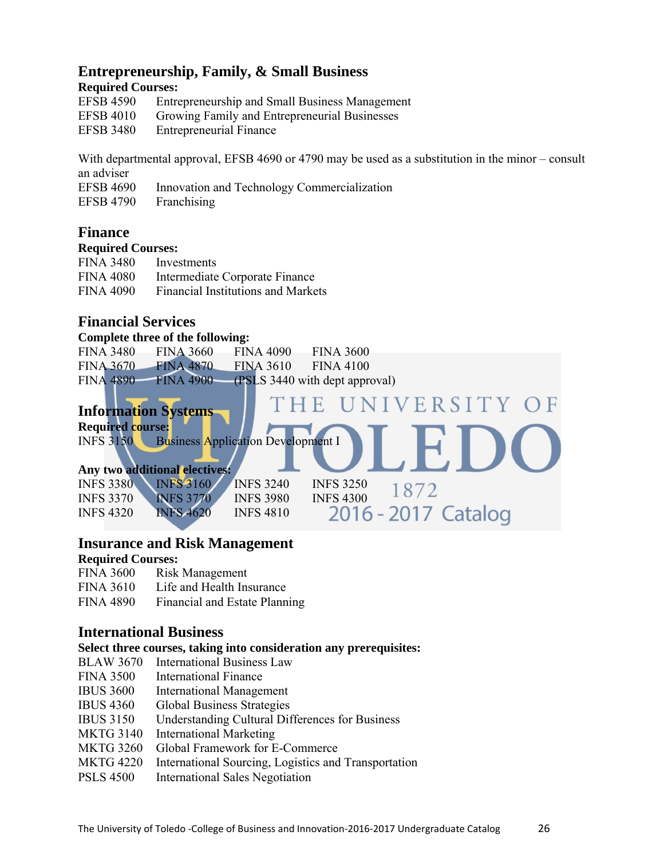# **Entrepreneurship, Family, & Small Business**

#### **Required Courses:**

| <b>EFSB 4590</b> | Entrepreneurship and Small Business Management |
|------------------|------------------------------------------------|
| <b>EFSB 4010</b> | Growing Family and Entrepreneurial Businesses  |
| <b>EFSB 3480</b> | <b>Entrepreneurial Finance</b>                 |

With departmental approval, EFSB 4690 or 4790 may be used as a substitution in the minor – consult an adviser

EFSB 4690 Innovation and Technology Commercialization

EFSB 4790 Franchising

# **Finance**

#### **Required Courses:**

| <b>FINA 3480</b> | Investments                               |
|------------------|-------------------------------------------|
| <b>FINA 4080</b> | Intermediate Corporate Finance            |
| <b>FINA 4090</b> | <b>Financial Institutions and Markets</b> |

# **Financial Services**

**Complete three of the following:** 

|  | FINA 3480 FINA 3660 FINA 4090 FINA 3600 |                                                    |
|--|-----------------------------------------|----------------------------------------------------|
|  | FINA 3670 FINA 4870 FINA 3610 FINA 4100 |                                                    |
|  |                                         | FINA 4890 FINA 4900 (PSLS 3440 with dept approval) |
|  |                                         |                                                    |

#### VERSITY OF HE **Information Systems Required course:**  INFS 3150 Business Application Development I **Any two additional electives:**  INFS 3380 INFS 3160 INFS 3240 INFS 3250 1872 INFS 3370 INFS 3770 INFS 3980 INFS 4300 10/2<br>INFS 4320 INFS 4620 INFS 4810 2016 - 2017 Catalog INFS 4320 INFS 4620 INFS 4810

# **Insurance and Risk Management**

# **Required Courses:**

- FINA 3600 Risk Management
- FINA 3610 Life and Health Insurance
- FINA 4890 Financial and Estate Planning

# **International Business**

#### **Select three courses, taking into consideration any prerequisites:**

- BLAW 3670 International Business Law
- FINA 3500 International Finance
- IBUS 3600 International Management
- IBUS 4360 Global Business Strategies
- IBUS 3150 Understanding Cultural Differences for Business
- MKTG 3140 International Marketing
- MKTG 3260 Global Framework for E-Commerce
- MKTG 4220 International Sourcing, Logistics and Transportation
- PSLS 4500 International Sales Negotiation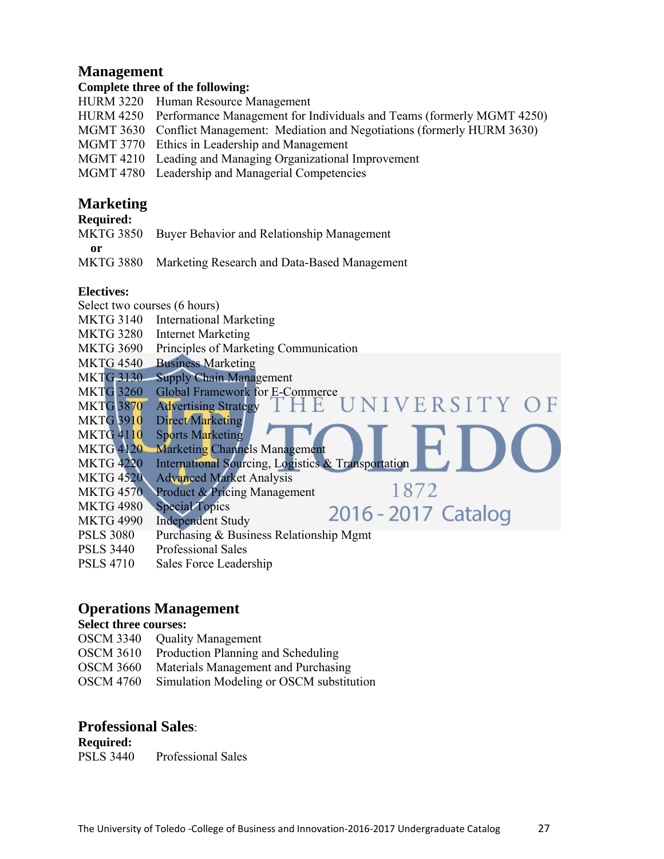# **Management**

# **Complete three of the following:**

- HURM 3220 Human Resource Management
- HURM 4250 Performance Management for Individuals and Teams (formerly MGMT 4250)
- MGMT 3630 Conflict Management: Mediation and Negotiations (formerly HURM 3630)
- MGMT 3770 Ethics in Leadership and Management
- MGMT 4210 Leading and Managing Organizational Improvement
- MGMT 4780 Leadership and Managerial Competencies

# **Marketing**

# **Required:**

MKTG 3850 Buyer Behavior and Relationship Management

**or** 

MKTG 3880 Marketing Research and Data-Based Management

# **Electives:**

Select two courses (6 hours) MKTG 3140 International Marketing MKTG 3280 Internet Marketing MKTG 3690 Principles of Marketing Communication MKTG 4540 Business Marketing MKTG 3130 Supply Chain Management MKTG 3260 Global Framework for E-Commerce VERSITY OF MKTG 3870 Advertising Strategy 1 E MKTG 3910 Direct Marketing MKTG 4110 Sports Marketing MKTG 4120 Marketing Channels Management MKTG 4220 International Sourcing, Logistics & Transportation MKTG 4520 Advanced Market Analysis 1872 MKTG 4570 Product & Pricing Management MKTG 4980 Special Topics 2016 - 2017 Catalog MKTG 4990 Independent Study PSLS 3080 Purchasing & Business Relationship Mgmt PSLS 3440 Professional Sales

PSLS 4710 Sales Force Leadership

# **Operations Management**

# **Select three courses:**

- OSCM 3340 Quality Management
- OSCM 3610 Production Planning and Scheduling
- OSCM 3660 Materials Management and Purchasing
- OSCM 4760 Simulation Modeling or OSCM substitution

# **Professional Sales**:

**Required:**  PSLS 3440 Professional Sales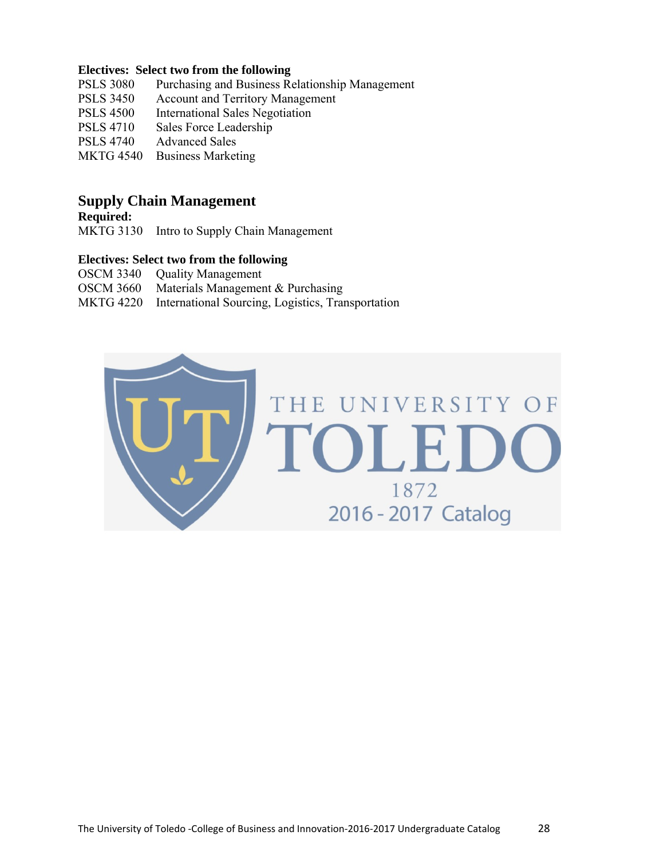#### **Electives: Select two from the following**

- PSLS 3080 Purchasing and Business Relationship Management
- PSLS 3450 Account and Territory Management
- PSLS 4500 International Sales Negotiation
- PSLS 4710 Sales Force Leadership
- PSLS 4740 Advanced Sales
- MKTG 4540 Business Marketing

# **Supply Chain Management**

**Required:** 

MKTG 3130 Intro to Supply Chain Management

#### **Electives: Select two from the following**

| OSCM 3340 Quality Management                                |
|-------------------------------------------------------------|
| OSCM 3660 Materials Management & Purchasing                 |
| MKTG 4220 International Sourcing, Logistics, Transportation |

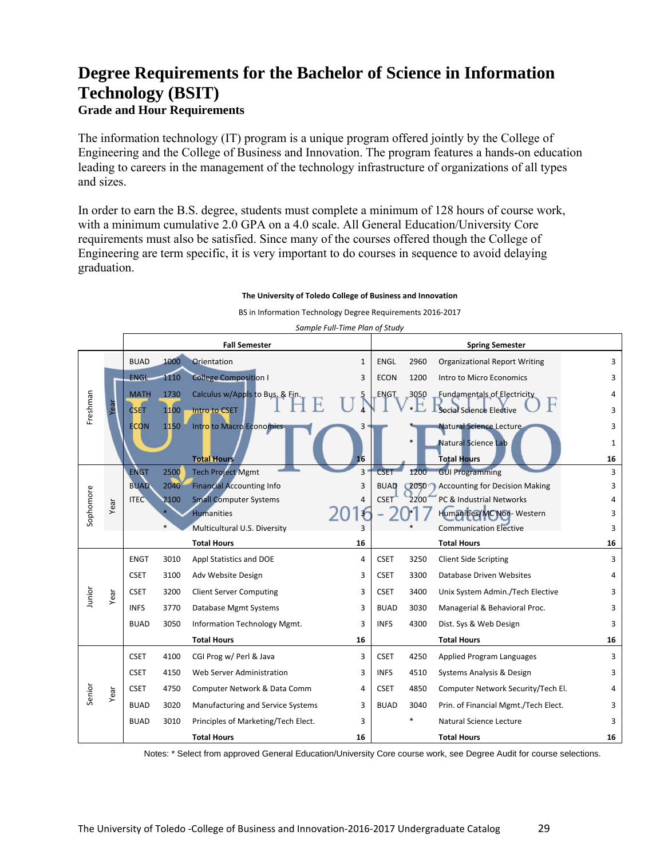# **Degree Requirements for the Bachelor of Science in Information Technology (BSIT) Grade and Hour Requirements**

The information technology (IT) program is a unique program offered jointly by the College of Engineering and the College of Business and Innovation. The program features a hands-on education leading to careers in the management of the technology infrastructure of organizations of all types and sizes.

In order to earn the B.S. degree, students must complete a minimum of 128 hours of course work, with a minimum cumulative 2.0 GPA on a 4.0 scale. All General Education/University Core requirements must also be satisfied. Since many of the courses offered though the College of Engineering are term specific, it is very important to do courses in sequence to avoid delaying graduation.

#### **The University of Toledo College of Business and Innovation**

BS in Information Technology Degree Requirements 2016‐2017

|           |      |             |      | <i>Jumpic Tum-Time Tium of Juay</i><br><b>Fall Semester</b> | <b>Spring Semester</b> |             |         |                                       |              |
|-----------|------|-------------|------|-------------------------------------------------------------|------------------------|-------------|---------|---------------------------------------|--------------|
|           |      | <b>BUAD</b> | 1000 | Orientation                                                 | $\mathbf{1}$           | ENGL        | 2960    | <b>Organizational Report Writing</b>  | 3            |
|           |      | <b>ENGL</b> | 1110 | <b>College Composition I</b>                                | 3                      | <b>ECON</b> | 1200    | Intro to Micro Economics              | 3            |
|           |      | <b>MATH</b> | 1730 | Calculus w/Appls to Bus. & Fin.                             |                        | ENGT        | 3050    | <b>Fundamentals of Electricity</b>    | 4            |
| Freshman  | Year | <b>CSET</b> | 1100 | Intro to CSET                                               |                        |             |         | Social Science Elective               | 3            |
|           |      | <b>ECON</b> | 1150 | Intro to Macro Economics                                    |                        |             |         | Natural Science Lecture               | 3            |
|           |      |             |      |                                                             |                        |             | $\ast$  | <b>Natural Science Lab</b>            | $\mathbf{1}$ |
|           |      |             |      | <b>Total Hours</b>                                          | 16                     |             |         | <b>Total Hours</b>                    | 16           |
|           |      | <b>ENGT</b> | 2500 | <b>Tech Project Mgmt</b>                                    | 3'                     | <b>CSE</b>  | 1200    | <b>GUI Programming</b>                | 3            |
|           |      | <b>BUAD</b> | 2040 | <b>Financial Accounting Info</b>                            | 3                      | <b>BUAD</b> | $Q$ 050 | <b>Accounting for Decision Making</b> | 3            |
|           | Year | <b>ITEC</b> | 2100 | <b>Small Computer Systems</b>                               | 4                      | <b>CSET</b> | 2200    | PC & Industrial Networks              |              |
| Sophomore |      |             |      | <b>Humanities</b>                                           |                        |             |         | Humanities/MC Non-Western             | 3            |
|           |      |             |      | Multicultural U.S. Diversity                                |                        |             |         | <b>Communication Elective</b>         | 3            |
|           |      |             |      | <b>Total Hours</b>                                          | 16                     |             |         | <b>Total Hours</b>                    | 16           |
|           |      | <b>ENGT</b> | 3010 | Appl Statistics and DOE                                     | 4                      | <b>CSET</b> | 3250    | <b>Client Side Scripting</b>          | 3            |
|           |      | <b>CSET</b> | 3100 | Adv Website Design                                          | 3                      | <b>CSET</b> | 3300    | Database Driven Websites              | 4            |
| Junior    | Year | <b>CSET</b> | 3200 | <b>Client Server Computing</b>                              | 3                      | <b>CSET</b> | 3400    | Unix System Admin./Tech Elective      | 3            |
|           |      | <b>INFS</b> | 3770 | Database Mgmt Systems                                       |                        |             |         |                                       |              |
|           |      |             |      |                                                             | 3                      | <b>BUAD</b> | 3030    | Managerial & Behavioral Proc.         | 3            |
|           |      | <b>BUAD</b> | 3050 | Information Technology Mgmt.                                | 3                      | <b>INFS</b> | 4300    | Dist. Sys & Web Design                | 3            |
|           |      |             |      | <b>Total Hours</b>                                          | 16                     |             |         | <b>Total Hours</b>                    | 16           |
|           |      | <b>CSET</b> | 4100 | CGI Prog w/ Perl & Java                                     | 3                      | <b>CSET</b> | 4250    | Applied Program Languages             | 3            |
|           |      | <b>CSET</b> | 4150 | Web Server Administration                                   | 3                      | <b>INFS</b> | 4510    | Systems Analysis & Design             | 3            |
|           |      | <b>CSET</b> | 4750 | Computer Network & Data Comm                                | 4                      | <b>CSET</b> | 4850    | Computer Network Security/Tech El.    |              |
| Senior    | Year | <b>BUAD</b> | 3020 | Manufacturing and Service Systems                           | 3                      | <b>BUAD</b> | 3040    | Prin. of Financial Mgmt./Tech Elect.  | 3            |
|           |      | <b>BUAD</b> | 3010 | Principles of Marketing/Tech Elect.                         | 3                      |             | *       | Natural Science Lecture               | 3            |

*Sample Full‐Time Plan of Study*

Notes: \* Select from approved General Education/University Core course work, see Degree Audit for course selections.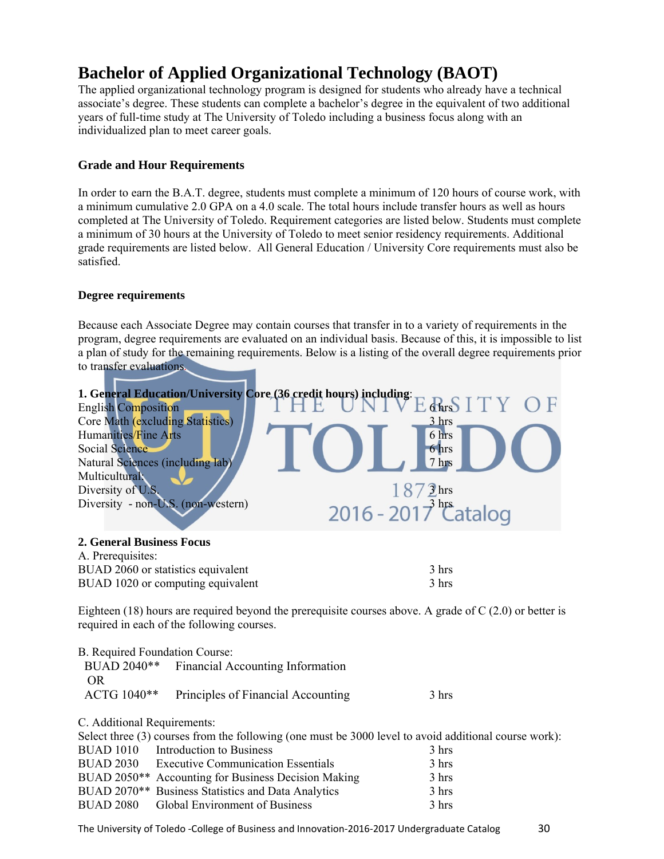# **Bachelor of Applied Organizational Technology (BAOT)**

The applied organizational technology program is designed for students who already have a technical associate's degree. These students can complete a bachelor's degree in the equivalent of two additional years of full-time study at The University of Toledo including a business focus along with an individualized plan to meet career goals.

# **Grade and Hour Requirements**

In order to earn the B.A.T. degree, students must complete a minimum of 120 hours of course work, with a minimum cumulative 2.0 GPA on a 4.0 scale. The total hours include transfer hours as well as hours completed at The University of Toledo. Requirement categories are listed below. Students must complete a minimum of 30 hours at the University of Toledo to meet senior residency requirements. Additional grade requirements are listed below. All General Education / University Core requirements must also be satisfied.

# **Degree requirements**

Because each Associate Degree may contain courses that transfer in to a variety of requirements in the program, degree requirements are evaluated on an individual basis. Because of this, it is impossible to list a plan of study for the remaining requirements. Below is a listing of the overall degree requirements prior to transfer evaluations.



# A. Prerequisites:

| $\mathbf{r}$ . The equipity.       |       |
|------------------------------------|-------|
| BUAD 2060 or statistics equivalent | 3 hrs |
| BUAD 1020 or computing equivalent  | 3 hrs |

Eighteen (18) hours are required beyond the prerequisite courses above. A grade of  $C(2.0)$  or better is required in each of the following courses.

| B. Required Foundation Course: | BUAD 2040 <sup>**</sup> Financial Accounting Information                                       |       |
|--------------------------------|------------------------------------------------------------------------------------------------|-------|
| OR.                            |                                                                                                |       |
| ACTG 1040**                    | Principles of Financial Accounting                                                             | 3 hrs |
| C. Additional Requirements:    |                                                                                                |       |
|                                | Solont throp (2) courses from the following (and must be 2000 lovel to evoid edditional course |       |

| Select three (3) courses from the following (one must be 3000 level to avoid additional course work): |       |
|-------------------------------------------------------------------------------------------------------|-------|
| BUAD 1010 Introduction to Business                                                                    | 3 hrs |
| BUAD 2030 Executive Communication Essentials                                                          | 3 hrs |
| BUAD 2050 <sup>**</sup> Accounting for Business Decision Making                                       | 3 hrs |
| BUAD 2070 <sup>**</sup> Business Statistics and Data Analytics                                        | 3 hrs |
| BUAD 2080 Global Environment of Business                                                              | 3 hrs |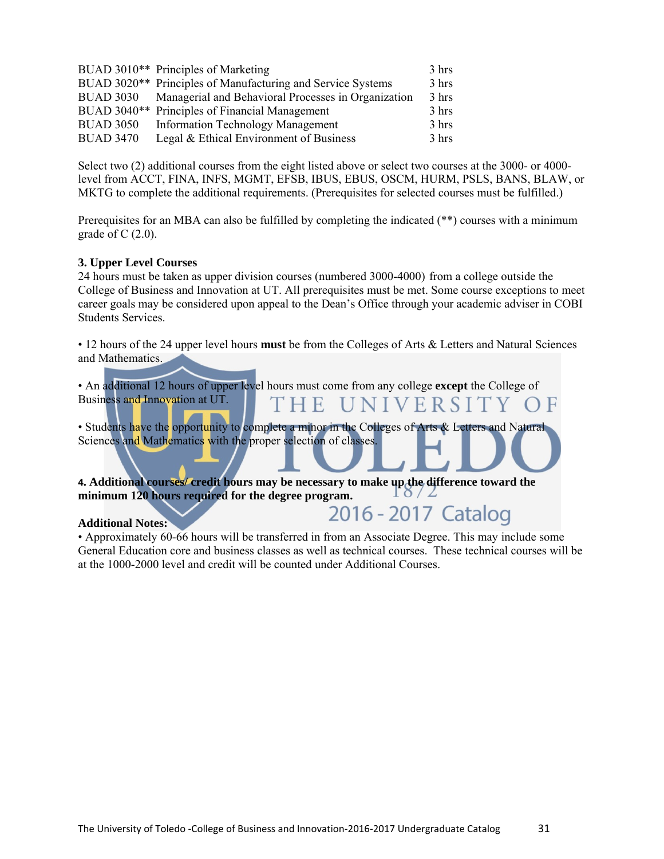|                  | BUAD 3010** Principles of Marketing                         | 3 hrs |
|------------------|-------------------------------------------------------------|-------|
|                  | BUAD 3020** Principles of Manufacturing and Service Systems | 3 hrs |
| <b>BUAD 3030</b> | Managerial and Behavioral Processes in Organization         | 3 hrs |
|                  | BUAD 3040** Principles of Financial Management              | 3 hrs |
| <b>BUAD 3050</b> | <b>Information Technology Management</b>                    | 3 hrs |
| <b>BUAD 3470</b> | Legal & Ethical Environment of Business                     | 3 hrs |

Select two (2) additional courses from the eight listed above or select two courses at the 3000- or 4000 level from ACCT, FINA, INFS, MGMT, EFSB, IBUS, EBUS, OSCM, HURM, PSLS, BANS, BLAW, or MKTG to complete the additional requirements. (Prerequisites for selected courses must be fulfilled.)

Prerequisites for an MBA can also be fulfilled by completing the indicated (\*\*) courses with a minimum grade of  $C(2.0)$ .

#### **3. Upper Level Courses**

24 hours must be taken as upper division courses (numbered 3000-4000) from a college outside the College of Business and Innovation at UT. All prerequisites must be met. Some course exceptions to meet career goals may be considered upon appeal to the Dean's Office through your academic adviser in COBI Students Services.

• 12 hours of the 24 upper level hours **must** be from the Colleges of Arts & Letters and Natural Sciences and Mathematics.

| • An additional 12 hours of upper level hours must come from any college except the College of    |
|---------------------------------------------------------------------------------------------------|
| Business and Innovation at UT.<br>THE UNIVERSITY OF                                               |
| • Students have the opportunity to complete a minor in the Colleges of Arts & Letters and Natural |
| Sciences and Mathematics with the proper selection of classes.                                    |
| 4. Additional courses/ credit hours may be necessary to make up the difference toward the         |
| minimum 120 hours required for the degree program.                                                |
| 2016 - 2017 Catalog<br><b>Additional Notes:</b>                                                   |

• Approximately 60-66 hours will be transferred in from an Associate Degree. This may include some General Education core and business classes as well as technical courses. These technical courses will be at the 1000-2000 level and credit will be counted under Additional Courses.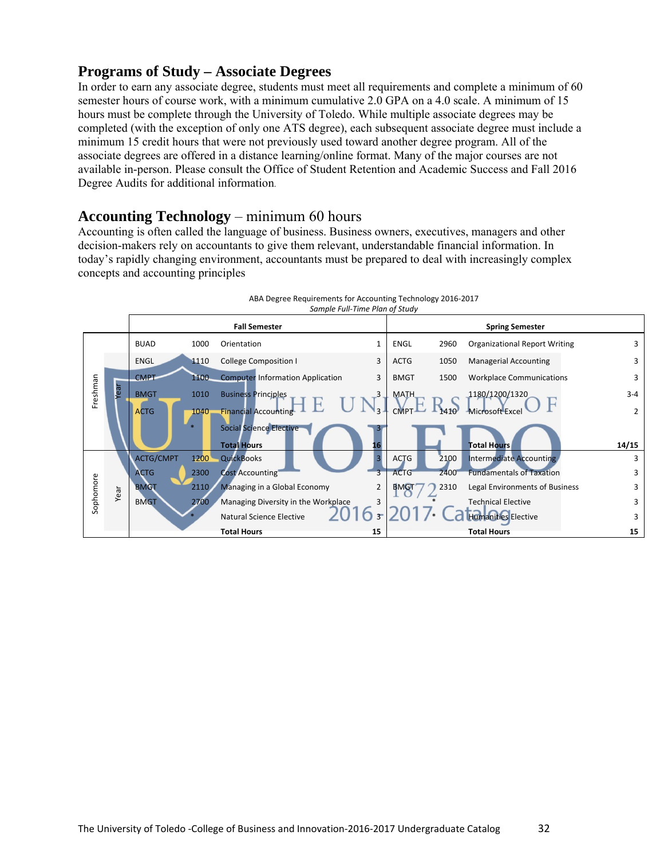# **Programs of Study – Associate Degrees**

In order to earn any associate degree, students must meet all requirements and complete a minimum of 60 semester hours of course work, with a minimum cumulative 2.0 GPA on a 4.0 scale. A minimum of 15 hours must be complete through the University of Toledo. While multiple associate degrees may be completed (with the exception of only one ATS degree), each subsequent associate degree must include a minimum 15 credit hours that were not previously used toward another degree program. All of the associate degrees are offered in a distance learning/online format. Many of the major courses are not available in-person. Please consult the Office of Student Retention and Academic Success and Fall 2016 Degree Audits for additional information.

# **Accounting Technology** – minimum 60 hours

Accounting is often called the language of business. Business owners, executives, managers and other decision-makers rely on accountants to give them relevant, understandable financial information. In today's rapidly changing environment, accountants must be prepared to deal with increasingly complex concepts and accounting principles

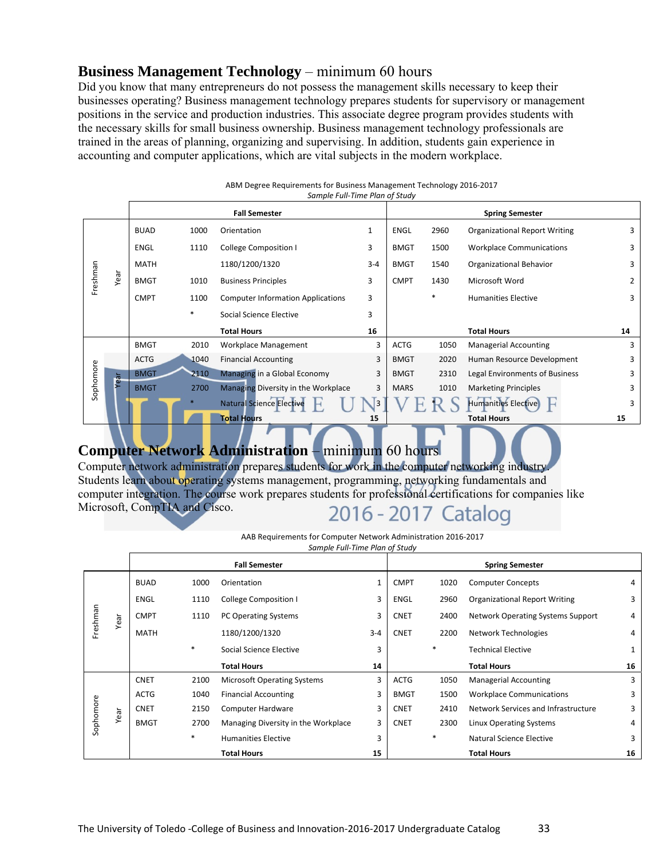# **Business Management Technology** – minimum 60 hours

Did you know that many entrepreneurs do not possess the management skills necessary to keep their businesses operating? Business management technology prepares students for supervisory or management positions in the service and production industries. This associate degree program provides students with the necessary skills for small business ownership. Business management technology professionals are trained in the areas of planning, organizing and supervising. In addition, students gain experience in accounting and computer applications, which are vital subjects in the modern workplace.

| ABM Degree Requirements for Business Management Technology 2016-2017 |                                |  |
|----------------------------------------------------------------------|--------------------------------|--|
|                                                                      | Sample Full-Time Plan of Study |  |

|           |      |             |        | <b>Fall Semester</b>                     |              |             |        | <b>Spring Semester</b>               |    |
|-----------|------|-------------|--------|------------------------------------------|--------------|-------------|--------|--------------------------------------|----|
|           |      | <b>BUAD</b> | 1000   | Orientation                              | $\mathbf{1}$ | ENGL        | 2960   | <b>Organizational Report Writing</b> | 3  |
|           |      | <b>ENGL</b> | 1110   | <b>College Composition I</b>             | 3            | <b>BMGT</b> | 1500   | <b>Workplace Communications</b>      | 3  |
|           |      | MATH        |        | 1180/1200/1320                           | $3 - 4$      | <b>BMGT</b> | 1540   | Organizational Behavior              | 3  |
| Freshman  | Year | <b>BMGT</b> | 1010   | <b>Business Principles</b>               | 3            | <b>CMPT</b> | 1430   | Microsoft Word                       | 2  |
|           |      | <b>CMPT</b> | 1100   | <b>Computer Information Applications</b> | 3            |             | $\ast$ | <b>Humanities Elective</b>           | 3  |
|           |      |             | $\ast$ | Social Science Elective                  | 3            |             |        |                                      |    |
|           |      |             |        | <b>Total Hours</b>                       | 16           |             |        | <b>Total Hours</b>                   | 14 |
|           |      | <b>BMGT</b> | 2010   | Workplace Management                     | 3            | ACTG        | 1050   | <b>Managerial Accounting</b>         | 3  |
|           |      | <b>ACTG</b> | 1040   | <b>Financial Accounting</b>              | 3            | <b>BMGT</b> | 2020   | Human Resource Development           | 3  |
| Sophomore | Year | <b>BMGT</b> | 2110   | Managing in a Global Economy             | 3            | <b>BMGT</b> | 2310   | Legal Environments of Business       | 3  |
|           |      | <b>BMGT</b> | 2700   | Managing Diversity in the Workplace      | 3            | <b>MARS</b> | 1010   | <b>Marketing Principles</b>          | 3  |
|           |      |             |        | <b>Natural Science Elective</b>          |              |             |        | <b>Humanities Elective</b>           | 3  |
|           |      |             |        | <b>Total Hours</b>                       | 15           |             |        | <b>Total Hours</b>                   | 15 |

# **Computer Network Administration** – minimum 60 hours

Computer network administration prepares students for work in the computer networking industry. Students learn about operating systems management, programming, networking fundamentals and computer integration. The course work prepares students for professional certifications for companies like Microsoft, CompTIA and Cisco. 2016 - 2017 Catalog

#### AAB Requirements for Computer Network Administration 2016‐2017

*Sample Full‐Time Plan of Study*

|           |      |             |        | <b>Fall Semester</b>                |              |             |        | <b>Spring Semester</b>               |    |
|-----------|------|-------------|--------|-------------------------------------|--------------|-------------|--------|--------------------------------------|----|
|           |      | <b>BUAD</b> | 1000   | Orientation                         | $\mathbf{1}$ | <b>CMPT</b> | 1020   | <b>Computer Concepts</b>             | 4  |
|           |      | <b>ENGL</b> | 1110   | <b>College Composition I</b>        | 3            | <b>ENGL</b> | 2960   | <b>Organizational Report Writing</b> | 3  |
| Freshman  | Year | <b>CMPT</b> | 1110   | <b>PC Operating Systems</b>         | 3            | <b>CNET</b> | 2400   | Network Operating Systems Support    | 4  |
|           |      | <b>MATH</b> |        | 1180/1200/1320                      | $3 - 4$      | <b>CNET</b> | 2200   | Network Technologies                 | 4  |
|           |      |             | $\ast$ | Social Science Elective             | 3            |             | $\ast$ | <b>Technical Elective</b>            | 1  |
|           |      |             |        |                                     |              |             |        |                                      |    |
|           |      |             |        | <b>Total Hours</b>                  | 14           |             |        | <b>Total Hours</b>                   | 16 |
|           |      | <b>CNET</b> | 2100   | <b>Microsoft Operating Systems</b>  | 3            | <b>ACTG</b> | 1050   | <b>Managerial Accounting</b>         | 3  |
|           |      | <b>ACTG</b> | 1040   | <b>Financial Accounting</b>         | 3            | <b>BMGT</b> | 1500   | <b>Workplace Communications</b>      | 3  |
|           |      | <b>CNET</b> | 2150   | Computer Hardware                   | 3            | <b>CNET</b> | 2410   | Network Services and Infrastructure  | 3  |
|           | Year | <b>BMGT</b> | 2700   | Managing Diversity in the Workplace | 3            | <b>CNET</b> | 2300   | Linux Operating Systems              | 4  |
| Sophomore |      |             | $\ast$ | <b>Humanities Elective</b>          | 3            |             | $\ast$ | Natural Science Elective             | 3  |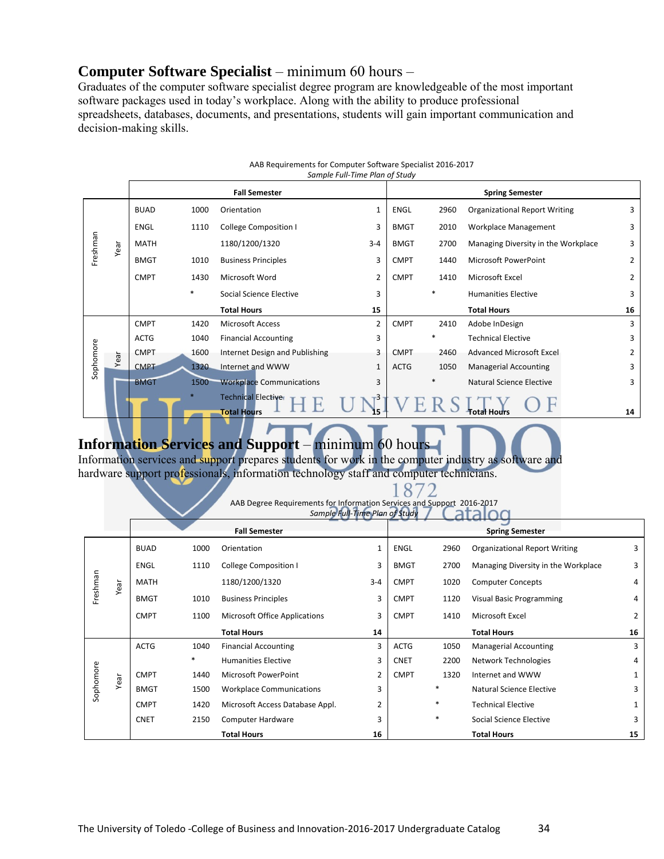# **Computer Software Specialist** – minimum 60 hours –

Graduates of the computer software specialist degree program are knowledgeable of the most important software packages used in today's workplace. Along with the ability to produce professional spreadsheets, databases, documents, and presentations, students will gain important communication and decision-making skills.

|           |      |             |        |                                                  | Sample Full-Time Plan of Study |             |        |                                      |                |
|-----------|------|-------------|--------|--------------------------------------------------|--------------------------------|-------------|--------|--------------------------------------|----------------|
|           |      |             |        | <b>Fall Semester</b>                             |                                |             |        | <b>Spring Semester</b>               |                |
|           |      | <b>BUAD</b> | 1000   | Orientation                                      |                                | ENGL        | 2960   | <b>Organizational Report Writing</b> | 3              |
|           |      | <b>ENGL</b> | 1110   | <b>College Composition I</b>                     | 3                              | <b>BMGT</b> | 2010   | Workplace Management                 | 3              |
| Freshman  | Year | <b>MATH</b> |        | 1180/1200/1320                                   | $3 - 4$                        | <b>BMGT</b> | 2700   | Managing Diversity in the Workplace  | 3              |
|           |      | <b>BMGT</b> | 1010   | <b>Business Principles</b>                       | 3                              | <b>CMPT</b> | 1440   | Microsoft PowerPoint                 | $\overline{2}$ |
|           |      | <b>CMPT</b> | 1430   | Microsoft Word                                   | 2                              | <b>CMPT</b> | 1410   | Microsoft Excel                      | $\overline{2}$ |
|           |      |             | $\ast$ | Social Science Elective                          | 3                              |             | *      | <b>Humanities Elective</b>           | 3              |
|           |      |             |        | <b>Total Hours</b>                               | 15                             |             |        | <b>Total Hours</b>                   | 16             |
|           |      | <b>CMPT</b> | 1420   | <b>Microsoft Access</b>                          | 2                              | <b>CMPT</b> | 2410   | Adobe InDesign                       | 3              |
|           |      | <b>ACTG</b> | 1040   | <b>Financial Accounting</b>                      | 3                              |             | $\ast$ | <b>Technical Elective</b>            | 3              |
|           | Year | <b>CMPT</b> | 1600   | Internet Design and Publishing                   | 3                              | <b>CMPT</b> | 2460   | <b>Advanced Microsoft Excel</b>      | 2              |
| Sophomore |      | <b>CMPT</b> | 1320   | Internet and WWW                                 | 1                              | <b>ACTG</b> | 1050   | <b>Managerial Accounting</b>         | 3              |
|           |      | <b>BMGT</b> | 1500   | <b>Workplace Communications</b>                  | 3                              |             |        | Natural Science Elective             | 3              |
|           |      |             |        | <b>Technical Electiver</b><br><b>Total Hours</b> |                                |             |        | Total Hours                          | 14             |

#### AAB Requirements for Computer Software Specialist 2016‐2017 *Sample Full‐Time Plan of Study*

# **Information Services and Support** – minimum 60 hours

Information services and support prepares students for work in the computer industry as software and hardware support professionals, information technology staff and computer technicians.

#### 872 AAB Degree Requirements for Information Services and Support 2016‐2017 *Sample Full‐Time Plan of Study*

|           |      |             |        | <b>Fall Semester</b>            |                |             |        | <b>Spring Semester</b>               |                |
|-----------|------|-------------|--------|---------------------------------|----------------|-------------|--------|--------------------------------------|----------------|
|           |      | <b>BUAD</b> | 1000   | Orientation                     |                | <b>ENGL</b> | 2960   | <b>Organizational Report Writing</b> | 3              |
|           |      | <b>ENGL</b> | 1110   | <b>College Composition I</b>    | 3              | <b>BMGT</b> | 2700   | Managing Diversity in the Workplace  | 3              |
| Freshman  | Year | <b>MATH</b> |        | 1180/1200/1320                  | $3 - 4$        | <b>CMPT</b> | 1020   | <b>Computer Concepts</b>             | 4              |
|           |      | <b>BMGT</b> | 1010   | <b>Business Principles</b>      | 3              | <b>CMPT</b> | 1120   | Visual Basic Programming             | 4              |
|           |      | <b>CMPT</b> | 1100   | Microsoft Office Applications   | 3              | <b>CMPT</b> | 1410   | Microsoft Excel                      | $\overline{2}$ |
|           |      |             |        | <b>Total Hours</b>              | 14             |             |        | <b>Total Hours</b>                   | 16             |
|           |      | <b>ACTG</b> | 1040   | <b>Financial Accounting</b>     | 3              | <b>ACTG</b> | 1050   | <b>Managerial Accounting</b>         | 3              |
|           |      |             | $\ast$ | <b>Humanities Elective</b>      | 3              | <b>CNET</b> | 2200   | Network Technologies                 | 4              |
|           | Year | <b>CMPT</b> | 1440   | Microsoft PowerPoint            | $\overline{2}$ | <b>CMPT</b> | 1320   | Internet and WWW                     | 1              |
| Sophomore |      | <b>BMGT</b> | 1500   | <b>Workplace Communications</b> | 3              |             | $\ast$ | Natural Science Elective             | 3              |
|           |      | <b>CMPT</b> | 1420   | Microsoft Access Database Appl. | $\overline{2}$ |             | $\ast$ | <b>Technical Elective</b>            | $\mathbf{1}$   |
|           |      | <b>CNET</b> | 2150   | Computer Hardware               | 3              |             | $\ast$ | Social Science Elective              | 3              |
|           |      |             |        | <b>Total Hours</b>              | 16             |             |        | <b>Total Hours</b>                   | 15             |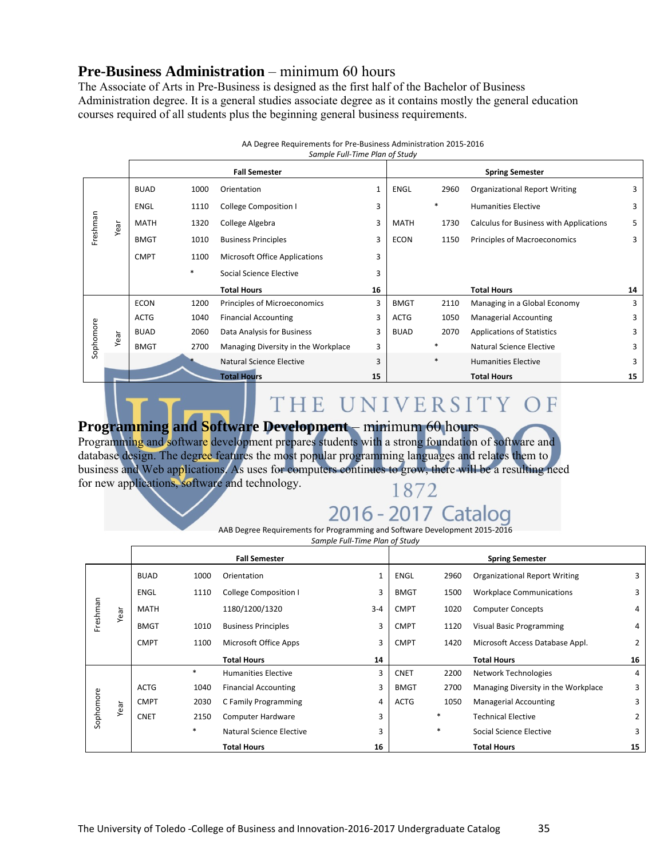# **Pre-Business Administration** – minimum 60 hours

The Associate of Arts in Pre-Business is designed as the first half of the Bachelor of Business Administration degree. It is a general studies associate degree as it contains mostly the general education courses required of all students plus the beginning general business requirements.

|           |      |             |        | Sample Full-Time Plan of Study       |    |             |        |                                         |    |
|-----------|------|-------------|--------|--------------------------------------|----|-------------|--------|-----------------------------------------|----|
|           |      |             |        | <b>Fall Semester</b>                 |    |             |        | <b>Spring Semester</b>                  |    |
|           |      | <b>BUAD</b> | 1000   | Orientation                          | 1  | ENGL        | 2960   | <b>Organizational Report Writing</b>    | 3  |
|           |      | <b>ENGL</b> | 1110   | <b>College Composition I</b>         | 3  |             | *      | <b>Humanities Elective</b>              | 3  |
| Freshman  | Year | MATH        | 1320   | College Algebra                      | 3  | <b>MATH</b> | 1730   | Calculus for Business with Applications | 5  |
|           |      | <b>BMGT</b> | 1010   | <b>Business Principles</b>           | 3  | <b>ECON</b> | 1150   | Principles of Macroeconomics            | 3  |
|           |      | <b>CMPT</b> | 1100   | <b>Microsoft Office Applications</b> | 3  |             |        |                                         |    |
|           |      |             | $\ast$ | Social Science Elective              | 3  |             |        |                                         |    |
|           |      |             |        | <b>Total Hours</b>                   | 16 |             |        | <b>Total Hours</b>                      | 14 |
|           |      | <b>ECON</b> | 1200   | Principles of Microeconomics         | 3  | <b>BMGT</b> | 2110   | Managing in a Global Economy            | 3  |
|           |      | <b>ACTG</b> | 1040   | <b>Financial Accounting</b>          | 3  | <b>ACTG</b> | 1050   | <b>Managerial Accounting</b>            | 3  |
| Sophomore | Year | <b>BUAD</b> | 2060   | Data Analysis for Business           | 3  | <b>BUAD</b> | 2070   | <b>Applications of Statistics</b>       | 3  |
|           |      | <b>BMGT</b> | 2700   | Managing Diversity in the Workplace  | 3  |             | *      | Natural Science Elective                | 3  |
|           |      |             |        | Natural Science Elective             | 3  |             | $\ast$ | <b>Humanities Elective</b>              | 3  |
|           |      |             |        | <b>Total Hours</b>                   | 15 |             |        | <b>Total Hours</b>                      | 15 |

#### AA Degree Requirements for Pre‐Business Administration 2015‐2016

# THE UNIVERSITY OF

# **Programming and Software Development** – minimum 60 hours

Programming and software development prepares students with a strong foundation of software and database design. The degree features the most popular programming languages and relates them to business and Web applications. As uses for computers continues to grow, there will be a resulting need for new applications, software and technology. 1872

# 2016 - 2017 Catalog

AAB Degree Requirements for Programming and Software Development 2015‐2016

*Sample Full‐Time Plan of Study*

|           |      |             |        | <b>Fall Semester</b>         |              |             |      | <b>Spring Semester</b>               |                |
|-----------|------|-------------|--------|------------------------------|--------------|-------------|------|--------------------------------------|----------------|
| Freshman  | Year | <b>BUAD</b> | 1000   | Orientation                  | $\mathbf{1}$ | <b>ENGL</b> | 2960 | <b>Organizational Report Writing</b> | 3              |
|           |      | ENGL        | 1110   | <b>College Composition I</b> | 3            | <b>BMGT</b> | 1500 | <b>Workplace Communications</b>      | 3              |
|           |      | <b>MATH</b> |        | 1180/1200/1320               | $3 - 4$      | <b>CMPT</b> | 1020 | <b>Computer Concepts</b>             | 4              |
|           |      | <b>BMGT</b> | 1010   | <b>Business Principles</b>   | 3            | <b>CMPT</b> | 1120 | Visual Basic Programming             | 4              |
|           |      | <b>CMPT</b> | 1100   | Microsoft Office Apps        | 3            | <b>CMPT</b> | 1420 | Microsoft Access Database Appl.      | $\overline{2}$ |
|           |      |             |        |                              |              |             |      |                                      |                |
|           |      |             |        | <b>Total Hours</b>           | 14           |             |      | <b>Total Hours</b>                   | 16             |
|           |      |             | $\ast$ | <b>Humanities Elective</b>   | 3            | <b>CNET</b> | 2200 | Network Technologies                 | 4              |
|           |      | <b>ACTG</b> | 1040   | <b>Financial Accounting</b>  | 3            | <b>BMGT</b> | 2700 | Managing Diversity in the Workplace  | 3              |
|           |      | <b>CMPT</b> | 2030   | C Family Programming         | 4            | <b>ACTG</b> | 1050 | <b>Managerial Accounting</b>         | 3              |
|           | Year | <b>CNET</b> | 2150   | Computer Hardware            | 3            |             | *    | <b>Technical Elective</b>            | $\overline{2}$ |
| Sophomore |      |             | *      | Natural Science Elective     | 3            |             | *    | Social Science Elective              | 3              |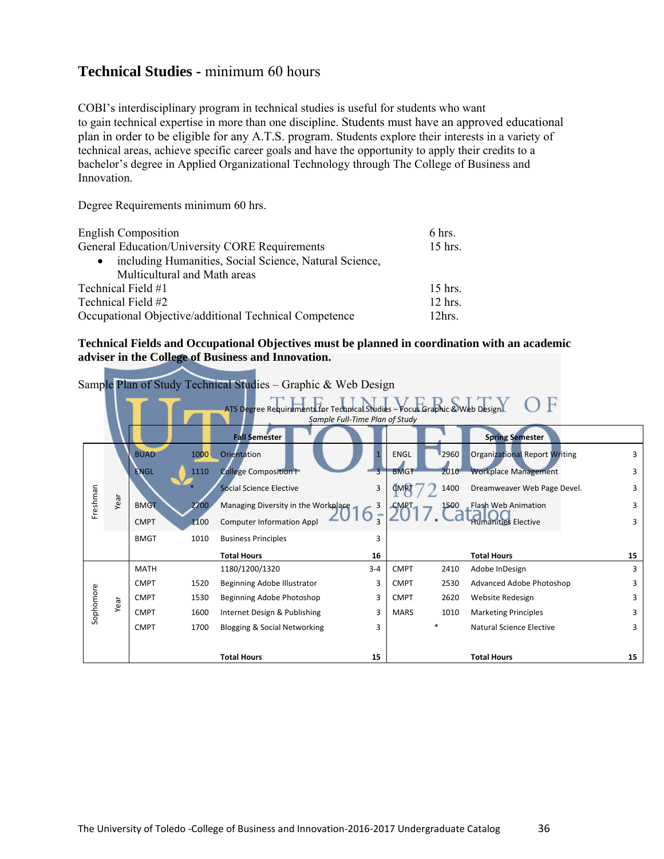# **Technical Studies -** minimum 60 hours

COBI's interdisciplinary program in technical studies is useful for students who want to gain technical expertise in more than one discipline. Students must have an approved educational plan in order to be eligible for any A.T.S. program. Students explore their interests in a variety of technical areas, achieve specific career goals and have the opportunity to apply their credits to a bachelor's degree in Applied Organizational Technology through The College of Business and Innovation.

Degree Requirements minimum 60 hrs.

| <b>English Composition</b>                                          | 6 hrs.            |
|---------------------------------------------------------------------|-------------------|
| General Education/University CORE Requirements                      | $15$ hrs.         |
| including Humanities, Social Science, Natural Science,<br>$\bullet$ |                   |
| Multicultural and Math areas                                        |                   |
| Technical Field #1                                                  | $15$ hrs.         |
| Technical Field #2                                                  | $12$ hrs.         |
| Occupational Objective/additional Technical Competence              | 12 <sub>hrs</sub> |

#### **Technical Fields and Occupational Objectives must be planned in coordination with an academic adviser in the College of Business and Innovation.**

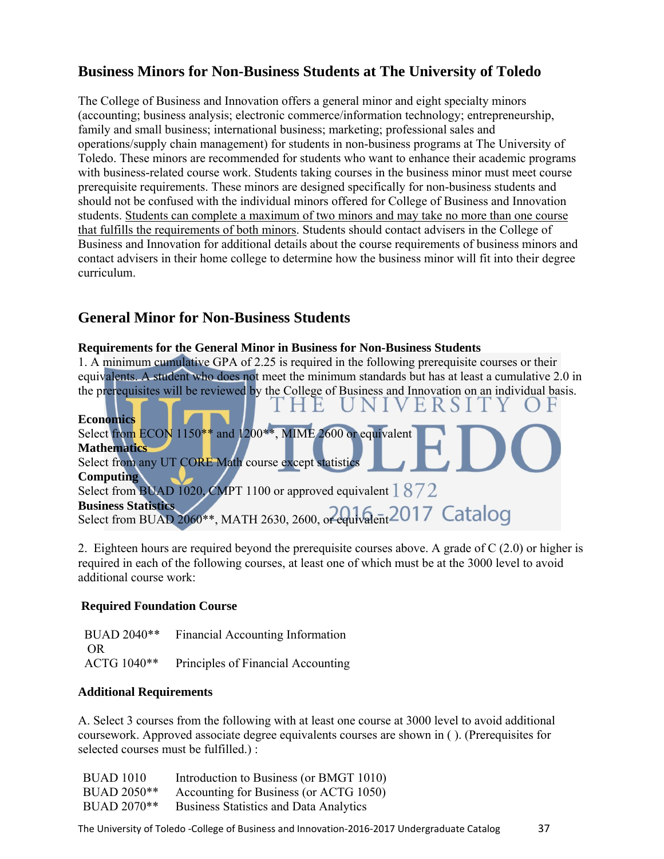# **Business Minors for Non-Business Students at The University of Toledo**

The College of Business and Innovation offers a general minor and eight specialty minors (accounting; business analysis; electronic commerce/information technology; entrepreneurship, family and small business; international business; marketing; professional sales and operations/supply chain management) for students in non-business programs at The University of Toledo. These minors are recommended for students who want to enhance their academic programs with business-related course work. Students taking courses in the business minor must meet course prerequisite requirements. These minors are designed specifically for non-business students and should not be confused with the individual minors offered for College of Business and Innovation students. Students can complete a maximum of two minors and may take no more than one course that fulfills the requirements of both minors. Students should contact advisers in the College of Business and Innovation for additional details about the course requirements of business minors and contact advisers in their home college to determine how the business minor will fit into their degree curriculum.

# **General Minor for Non-Business Students**

#### **Requirements for the General Minor in Business for Non-Business Students**

1. A minimum cumulative GPA of 2.25 is required in the following prerequisite courses or their equivalents. A student who does not meet the minimum standards but has at least a cumulative 2.0 in the prerequisites will be reviewed by the College of Business and Innovation on an individual basis.<br> $T H H T N I V F R S I T V O F$ 

| $\blacksquare$<br><b>Economics</b>                                   |
|----------------------------------------------------------------------|
| Select from ECON $1150**$ and $1200**$ , MIME 2600 or equivalent     |
| <b>Mathematics</b>                                                   |
| Select from any UT CORE Math course except statistics                |
| <b>Computing</b>                                                     |
| Select from BUAD 1020, CMPT 1100 or approved equivalent $1872$       |
| <b>Business Statistics</b>                                           |
| Select from BUAD 2060**, MATH 2630, 2600, or equivalent 2017 Catalog |

2. Eighteen hours are required beyond the prerequisite courses above. A grade of C (2.0) or higher is required in each of the following courses, at least one of which must be at the 3000 level to avoid additional course work:

# **Required Foundation Course**

 $\sim$   $\sim$ 

**Service** 

 BUAD 2040\*\* Financial Accounting Information OR ACTG 1040\*\* Principles of Financial Accounting

# **Additional Requirements**

A. Select 3 courses from the following with at least one course at 3000 level to avoid additional coursework. Approved associate degree equivalents courses are shown in ( ). (Prerequisites for selected courses must be fulfilled.) :

| <b>BUAD 1010</b> | Introduction to Business (or BMGT 1010)       |
|------------------|-----------------------------------------------|
| BUAD 2050**      | Accounting for Business (or ACTG 1050)        |
| BUAD 2070**      | <b>Business Statistics and Data Analytics</b> |

The University of Toledo -College of Business and Innovation-2016-2017 Undergraduate Catalog 37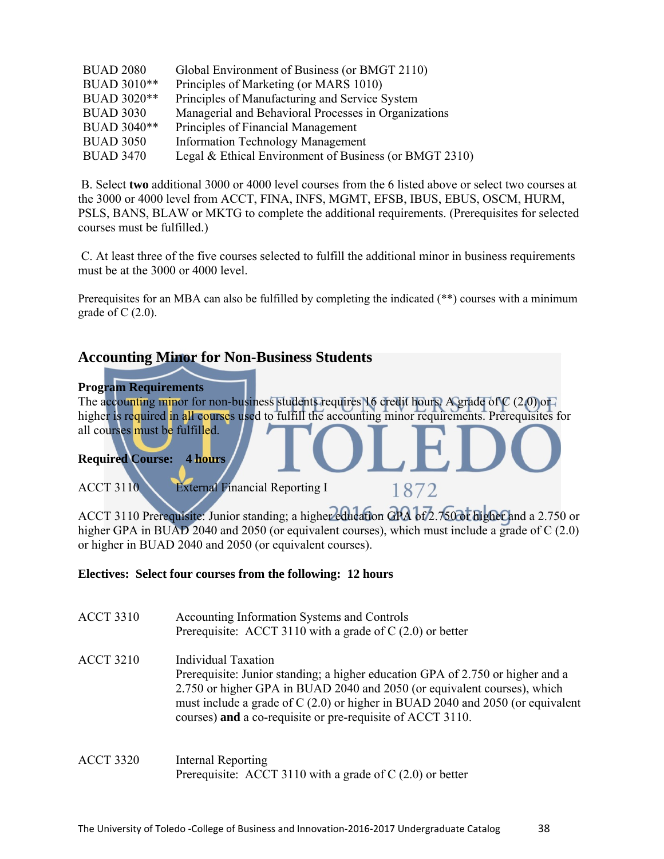| <b>BUAD 2080</b> | Global Environment of Business (or BMGT 2110)          |
|------------------|--------------------------------------------------------|
| BUAD 3010**      | Principles of Marketing (or MARS 1010)                 |
| BUAD 3020**      | Principles of Manufacturing and Service System         |
| <b>BUAD 3030</b> | Managerial and Behavioral Processes in Organizations   |
| BUAD 3040**      | Principles of Financial Management                     |
| <b>BUAD 3050</b> | <b>Information Technology Management</b>               |
| <b>BUAD 3470</b> | Legal & Ethical Environment of Business (or BMGT 2310) |
|                  |                                                        |

 B. Select **two** additional 3000 or 4000 level courses from the 6 listed above or select two courses at the 3000 or 4000 level from ACCT, FINA, INFS, MGMT, EFSB, IBUS, EBUS, OSCM, HURM, PSLS, BANS, BLAW or MKTG to complete the additional requirements. (Prerequisites for selected courses must be fulfilled.)

 C. At least three of the five courses selected to fulfill the additional minor in business requirements must be at the 3000 or 4000 level.

Prerequisites for an MBA can also be fulfilled by completing the indicated (\*\*) courses with a minimum grade of  $C(2.0)$ .

# **Accounting Minor for Non-Business Students**

#### **Program Requirements**

The accounting minor for non-business students requires 16 credit hours. A grade of  $C(2,0)$  or higher is required in all courses used to fulfill the accounting minor requirements. Prerequisites for all courses must be fulfilled.

# **Required Course: 4 hours**

ACCT 3110 External Financial Reporting I

ACCT 3110 Prerequisite: Junior standing; a higher education GPA of 2.750 or higher and a 2.750 or higher GPA in BUAD 2040 and 2050 (or equivalent courses), which must include a grade of C (2.0) or higher in BUAD 2040 and 2050 (or equivalent courses).

1872

# **Electives: Select four courses from the following: 12 hours**

| <b>ACCT 3310</b> | Accounting Information Systems and Controls<br>Prerequisite: ACCT 3110 with a grade of $C(2.0)$ or better                                                                                                                                                                                                                                 |
|------------------|-------------------------------------------------------------------------------------------------------------------------------------------------------------------------------------------------------------------------------------------------------------------------------------------------------------------------------------------|
| <b>ACCT 3210</b> | <b>Individual Taxation</b><br>Prerequisite: Junior standing; a higher education GPA of 2.750 or higher and a<br>2.750 or higher GPA in BUAD 2040 and 2050 (or equivalent courses), which<br>must include a grade of $C(2.0)$ or higher in BUAD 2040 and 2050 (or equivalent<br>courses) and a co-requisite or pre-requisite of ACCT 3110. |
| <b>ACCT 3320</b> | Internal Reporting<br>Prerequisite: ACCT 3110 with a grade of $C(2.0)$ or better                                                                                                                                                                                                                                                          |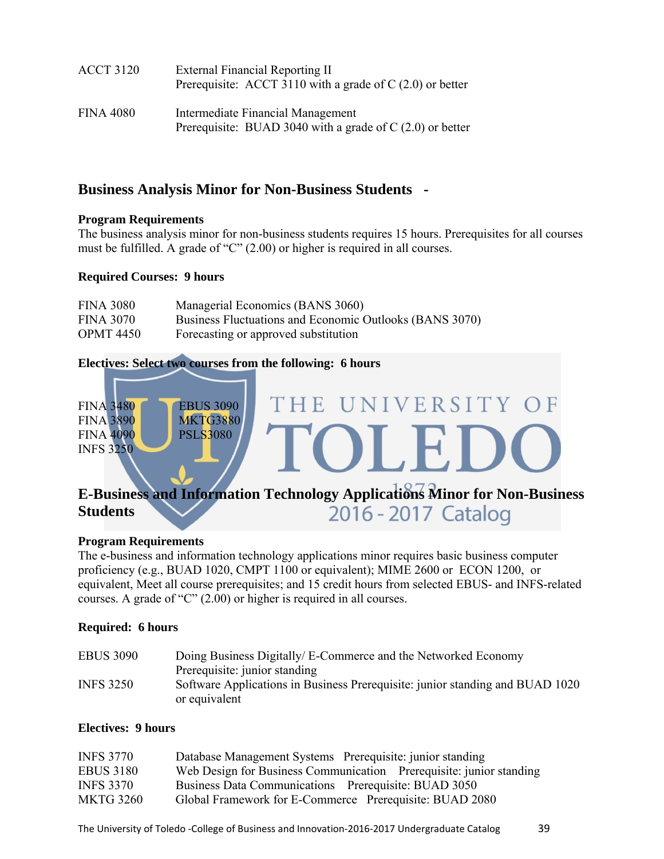| <b>ACCT 3120</b> | External Financial Reporting II<br>Prerequisite: ACCT 3110 with a grade of $C(2.0)$ or better   |
|------------------|-------------------------------------------------------------------------------------------------|
| FINA 4080        | Intermediate Financial Management<br>Prerequisite: BUAD 3040 with a grade of $C(2.0)$ or better |

# **Business Analysis Minor for Non-Business Students -**

# **Program Requirements**

The business analysis minor for non-business students requires 15 hours. Prerequisites for all courses must be fulfilled. A grade of "C" (2.00) or higher is required in all courses.

# **Required Courses: 9 hours**

| <b>FINA 3080</b> | Managerial Economics (BANS 3060)                        |
|------------------|---------------------------------------------------------|
| <b>FINA 3070</b> | Business Fluctuations and Economic Outlooks (BANS 3070) |
| <b>OPMT 4450</b> | Forecasting or approved substitution                    |

# **Electives: Select two courses from the following: 6 hours**



# 2016 - 2017 Catalog **Students**

# **Program Requirements**

The e-business and information technology applications minor requires basic business computer proficiency (e.g., BUAD 1020, CMPT 1100 or equivalent); MIME 2600 or ECON 1200, or equivalent, Meet all course prerequisites; and 15 credit hours from selected EBUS- and INFS-related courses. A grade of "C" (2.00) or higher is required in all courses.

# **Required: 6 hours**

| <b>EBUS 3090</b> | Doing Business Digitally/E-Commerce and the Networked Economy                                  |
|------------------|------------------------------------------------------------------------------------------------|
|                  | Prerequisite: junior standing                                                                  |
| <b>INFS 3250</b> | Software Applications in Business Prerequisite: junior standing and BUAD 1020<br>or equivalent |

# **Electives: 9 hours**

| <b>INFS 3770</b> | Database Management Systems Prerequisite: junior standing           |
|------------------|---------------------------------------------------------------------|
| <b>EBUS 3180</b> | Web Design for Business Communication Prerequisite: junior standing |
| <b>INFS 3370</b> | Business Data Communications Prerequisite: BUAD 3050                |
| <b>MKTG 3260</b> | Global Framework for E-Commerce Prerequisite: BUAD 2080             |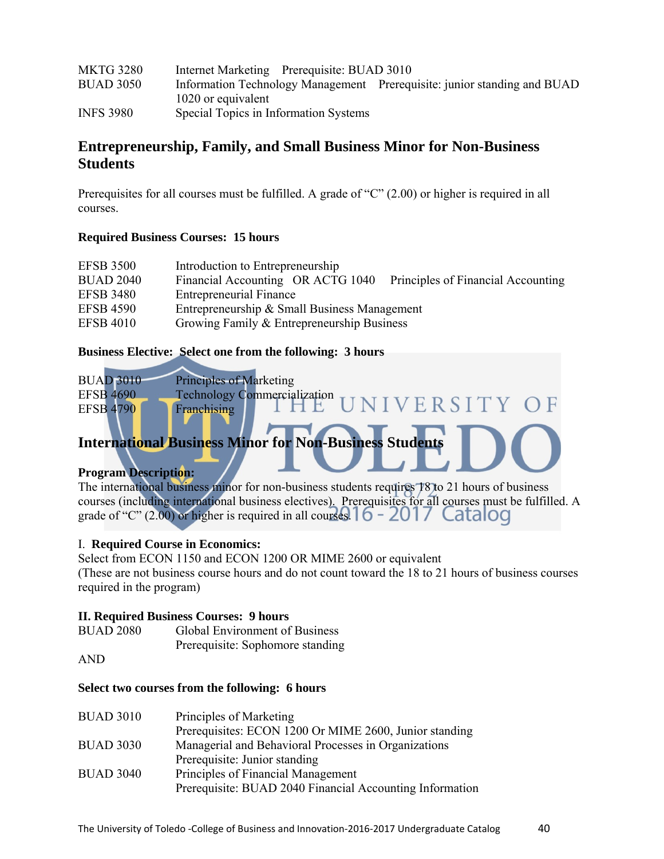| <b>MKTG 3280</b> | Internet Marketing Prerequisite: BUAD 3010 |                                                                          |
|------------------|--------------------------------------------|--------------------------------------------------------------------------|
| <b>BUAD 3050</b> |                                            | Information Technology Management Prerequisite: junior standing and BUAD |
|                  | 1020 or equivalent                         |                                                                          |
| <b>INFS 3980</b> | Special Topics in Information Systems      |                                                                          |

# **Entrepreneurship, Family, and Small Business Minor for Non-Business Students**

Prerequisites for all courses must be fulfilled. A grade of "C" (2.00) or higher is required in all courses.

# **Required Business Courses: 15 hours**

| <b>EFSB 3500</b> | Introduction to Entrepreneurship                                        |
|------------------|-------------------------------------------------------------------------|
| <b>BUAD 2040</b> | Financial Accounting OR ACTG 1040<br>Principles of Financial Accounting |
| <b>EFSB 3480</b> | <b>Entrepreneurial Finance</b>                                          |
| <b>EFSB 4590</b> | Entrepreneurship & Small Business Management                            |
| <b>EFSB 4010</b> | Growing Family & Entrepreneurship Business                              |

# **Business Elective: Select one from the following: 3 hours**

| <b>BUAD 3010</b> | <b>Principles of Marketing</b>         |  |
|------------------|----------------------------------------|--|
| <b>EFSB 4690</b> | <b>Technology Commercialization</b>    |  |
| <b>EFSB 4790</b> | <b>HE UNIVERSITY OF</b><br>Franchising |  |
|                  |                                        |  |

# **International Business Minor for Non-Business Students**

# **Program Description:**

The international business minor for non-business students requires 18 to 21 hours of business courses (including international business electives). Prerequisites for all courses must be fulfilled. A grade of "C" (2.00) or higher is required in all courses  $16 - 2017$  Catalog

# I. **Required Course in Economics:**

Select from ECON 1150 and ECON 1200 OR MIME 2600 or equivalent (These are not business course hours and do not count toward the 18 to 21 hours of business courses required in the program)

# **II. Required Business Courses: 9 hours**

| <b>BUAD 2080</b> | <b>Global Environment of Business</b> |
|------------------|---------------------------------------|
|                  | Prerequisite: Sophomore standing      |

AND

# **Select two courses from the following: 6 hours**

| <b>BUAD 3010</b> | Principles of Marketing                                  |
|------------------|----------------------------------------------------------|
|                  | Prerequisites: ECON 1200 Or MIME 2600, Junior standing   |
| <b>BUAD 3030</b> | Managerial and Behavioral Processes in Organizations     |
|                  | Prerequisite: Junior standing                            |
| <b>BUAD 3040</b> | Principles of Financial Management                       |
|                  | Prerequisite: BUAD 2040 Financial Accounting Information |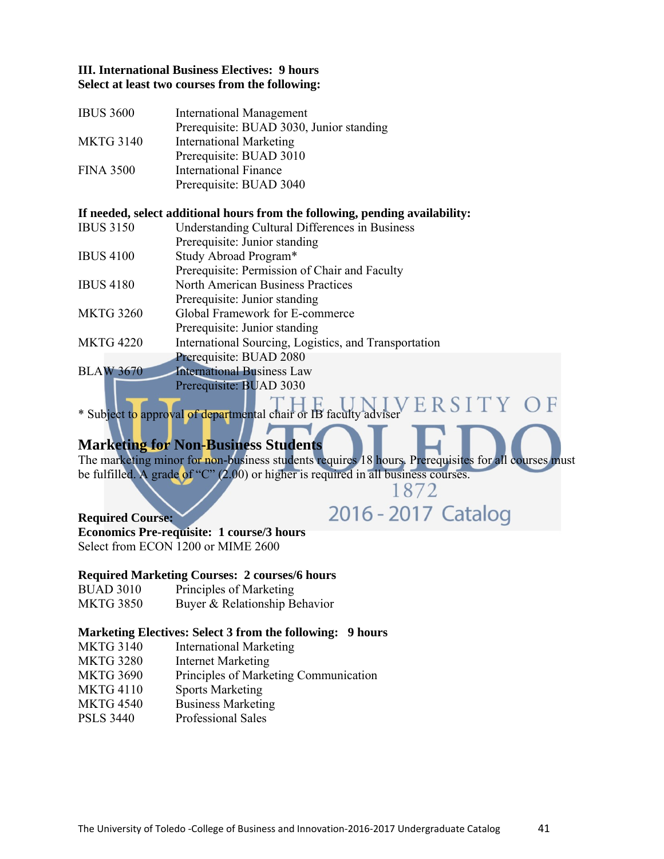# **III. International Business Electives: 9 hours Select at least two courses from the following:**

| <b>IBUS 3600</b> | <b>International Management</b>          |
|------------------|------------------------------------------|
|                  | Prerequisite: BUAD 3030, Junior standing |
| <b>MKTG 3140</b> | <b>International Marketing</b>           |
|                  | Prerequisite: BUAD 3010                  |
| <b>FINA 3500</b> | <b>International Finance</b>             |
|                  | Prerequisite: BUAD 3040                  |

#### **If needed, select additional hours from the following, pending availability:**

| <b>IBUS 3150</b> | <b>Understanding Cultural Differences in Business</b> |
|------------------|-------------------------------------------------------|
|                  | Prerequisite: Junior standing                         |
| <b>IBUS 4100</b> | Study Abroad Program*                                 |
|                  | Prerequisite: Permission of Chair and Faculty         |
| <b>IBUS 4180</b> | <b>North American Business Practices</b>              |
|                  | Prerequisite: Junior standing                         |
| <b>MKTG 3260</b> | Global Framework for E-commerce                       |
|                  | Prerequisite: Junior standing                         |
| <b>MKTG 4220</b> | International Sourcing, Logistics, and Transportation |
|                  | Prerequisite: BUAD 2080                               |
| <b>BLAW 3670</b> | <b>International Business Law</b>                     |
|                  | Prerequisite: BUAD 3030                               |
|                  |                                                       |

ERSITY \* Subject to approval of departmental chair or IB faculty adviser

# **Marketing for Non-Business Students**

The marketing minor for non-business students requires 18 hours. Prerequisites for all courses must be fulfilled. A grade of "C"  $(2.00)$  or higher is required in all business courses.<br>1872

2016 - 2017 Catalog

#### **Required Course:**

**Economics Pre-requisite: 1 course/3 hours**  Select from ECON 1200 or MIME 2600

# **Required Marketing Courses: 2 courses/6 hours**

BUAD 3010 Principles of Marketing

MKTG 3850 Buyer & Relationship Behavior

# **Marketing Electives: Select 3 from the following: 9 hours**

- MKTG 3140 International Marketing
- MKTG 3280 Internet Marketing
- MKTG 3690 Principles of Marketing Communication
- MKTG 4110 Sports Marketing
- MKTG 4540 Business Marketing
- PSLS 3440 Professional Sales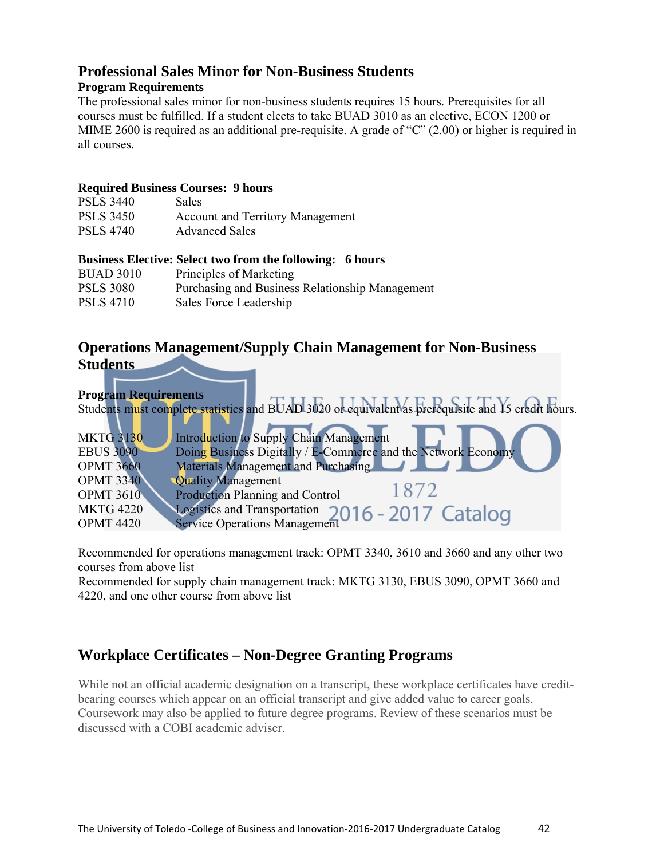# **Professional Sales Minor for Non-Business Students**

# **Program Requirements**

The professional sales minor for non-business students requires 15 hours. Prerequisites for all courses must be fulfilled. If a student elects to take BUAD 3010 as an elective, ECON 1200 or MIME 2600 is required as an additional pre-requisite. A grade of "C" (2.00) or higher is required in all courses.

# **Required Business Courses: 9 hours**

| <b>PSLS 3440</b> | <b>Sales</b>                            |
|------------------|-----------------------------------------|
| <b>PSLS 3450</b> | <b>Account and Territory Management</b> |
| <b>PSLS 4740</b> | <b>Advanced Sales</b>                   |

# **Business Elective: Select two from the following: 6 hours**

| <b>BUAD 3010</b> | Principles of Marketing                         |
|------------------|-------------------------------------------------|
| <b>PSLS 3080</b> | Purchasing and Business Relationship Management |
| <b>PSLS 4710</b> | Sales Force Leadership                          |

# **Operations Management/Supply Chain Management for Non-Business Students**



Recommended for operations management track: OPMT 3340, 3610 and 3660 and any other two courses from above list

Recommended for supply chain management track: MKTG 3130, EBUS 3090, OPMT 3660 and 4220, and one other course from above list

# **Workplace Certificates – Non-Degree Granting Programs**

While not an official academic designation on a transcript, these workplace certificates have creditbearing courses which appear on an official transcript and give added value to career goals. Coursework may also be applied to future degree programs. Review of these scenarios must be discussed with a COBI academic adviser.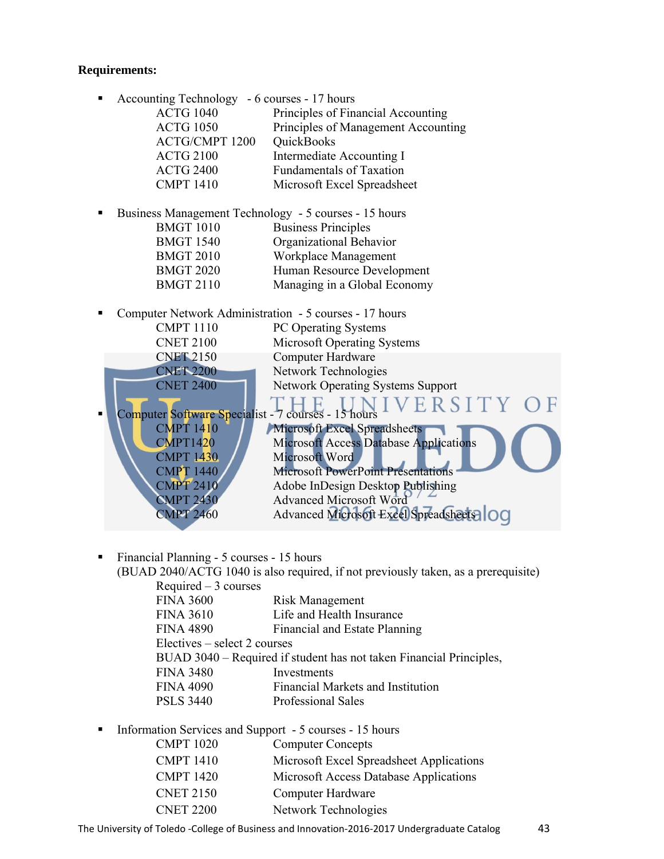#### **Requirements:**

■ Accounting Technology - 6 courses - 17 hours

| <b>ACTG 1040</b>      | Principles of Financial Accounting  |
|-----------------------|-------------------------------------|
| <b>ACTG 1050</b>      | Principles of Management Accounting |
| <b>ACTG/CMPT 1200</b> | QuickBooks                          |
| <b>ACTG 2100</b>      | Intermediate Accounting I           |
| <b>ACTG 2400</b>      | <b>Fundamentals of Taxation</b>     |
| <b>CMPT 1410</b>      | Microsoft Excel Spreadsheet         |
|                       |                                     |

- Business Management Technology 5 courses 15 hours BMGT 1010 Business Principles BMGT 1540 Organizational Behavior BMGT 2010 Workplace Management BMGT 2020 Human Resource Development BMGT 2110 Managing in a Global Economy
- Computer Network Administration 5 courses 17 hours CMPT 1110 PC Operating Systems CNET 2100 Microsoft Operating Systems CNET 2150 Computer Hardware CNET 2200 Network Technologies CNET 2400 Network Operating Systems Support VERSIT Computer Software Specialist - 7 courses - 15 hours CMPT 1410 Microsoft Excel Spreadsheets CMPT1420 Microsoft Access Database Applications

CMPT 1430 Microsoft Word CMPT 1440 Microsoft PowerPoint Presentations CMPT 2410 Adobe InDesign Desktop Publishing CMPT 2430 Advanced Microsoft Word CMPT 2460 Advanced Microsoft Excel Spreadsheets | OC

Y

Financial Planning - 5 courses - 15 hours

(BUAD 2040/ACTG 1040 is also required, if not previously taken, as a prerequisite)

| Required $-3$ courses                                               |                                   |  |
|---------------------------------------------------------------------|-----------------------------------|--|
| <b>FINA 3600</b>                                                    | <b>Risk Management</b>            |  |
| <b>FINA 3610</b>                                                    | Life and Health Insurance         |  |
| <b>FINA 4890</b>                                                    | Financial and Estate Planning     |  |
| Electives – select 2 courses                                        |                                   |  |
| BUAD 3040 – Required if student has not taken Financial Principles, |                                   |  |
| <b>FINA 3480</b>                                                    | Investments                       |  |
| FINA 4090                                                           | Financial Markets and Institution |  |
| <b>PSLS 3440</b>                                                    | <b>Professional Sales</b>         |  |
|                                                                     |                                   |  |

Information Services and Support - 5 courses - 15 hours

| <b>CMPT 1020</b> | <b>Computer Concepts</b>                 |
|------------------|------------------------------------------|
| <b>CMPT 1410</b> | Microsoft Excel Spreadsheet Applications |
| <b>CMPT 1420</b> | Microsoft Access Database Applications   |
| <b>CNET 2150</b> | Computer Hardware                        |
| <b>CNET 2200</b> | Network Technologies                     |

The University of Toledo -College of Business and Innovation-2016-2017 Undergraduate Catalog 43